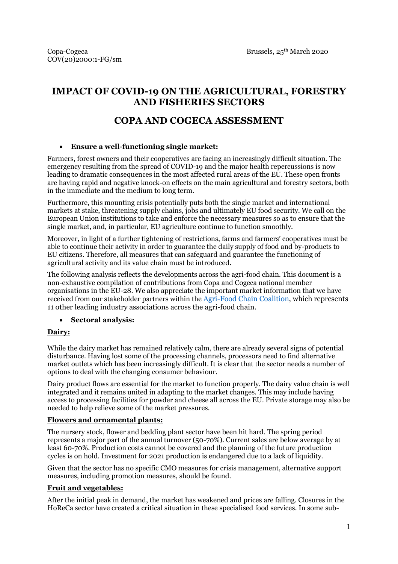# **IMPACT OF COVID-19 ON THE AGRICULTURAL, FORESTRY AND FISHERIES SECTORS**

# **COPA AND COGECA ASSESSMENT**

#### **Ensure a well-functioning single market:**

Farmers, forest owners and their cooperatives are facing an increasingly difficult situation. The emergency resulting from the spread of COVID-19 and the major health repercussions is now leading to dramatic consequences in the most affected rural areas of the EU. These open fronts are having rapid and negative knock-on effects on the main agricultural and forestry sectors, both in the immediate and the medium to long term.

Furthermore, this mounting crisis potentially puts both the single market and international markets at stake, threatening supply chains, jobs and ultimately EU food security. We call on the European Union institutions to take and enforce the necessary measures so as to ensure that the single market, and, in particular, EU agriculture continue to function smoothly.

Moreover, in light of a further tightening of restrictions, farms and farmers' cooperatives must be able to continue their activity in order to guarantee the daily supply of food and by-products to EU citizens. Therefore, all measures that can safeguard and guarantee the functioning of agricultural activity and its value chain must be introduced.

The following analysis reflects the developments across the agri-food chain. This document is a non-exhaustive compilation of contributions from Copa and Cogeca national member organisations in the EU-28. We also appreciate the important market information that we have received from our stakeholder partners within the [Agri-Food Chain Coalition,](https://agrifoodchaincoalition.eu/) which represents 11 other leading industry associations across the agri-food chain.

#### **Sectoral analysis:**

#### **Dairy:**

While the dairy market has remained relatively calm, there are already several signs of potential disturbance. Having lost some of the processing channels, processors need to find alternative market outlets which has been increasingly difficult. It is clear that the sector needs a number of options to deal with the changing consumer behaviour.

Dairy product flows are essential for the market to function properly. The dairy value chain is well integrated and it remains united in adapting to the market changes. This may include having access to processing facilities for powder and cheese all across the EU. Private storage may also be needed to help relieve some of the market pressures.

#### **Flowers and ornamental plants:**

The nursery stock, flower and bedding plant sector have been hit hard. The spring period represents a major part of the annual turnover (50-70%). Current sales are below average by at least 60-70%. Production costs cannot be covered and the planning of the future production cycles is on hold. Investment for 2021 production is endangered due to a lack of liquidity.

Given that the sector has no specific CMO measures for crisis management, alternative support measures, including promotion measures, should be found.

#### **Fruit and vegetables:**

After the initial peak in demand, the market has weakened and prices are falling. Closures in the HoReCa sector have created a critical situation in these specialised food services. In some sub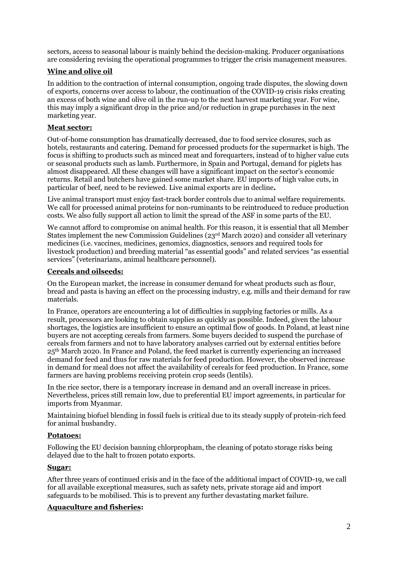sectors, access to seasonal labour is mainly behind the decision-making. Producer organisations are considering revising the operational programmes to trigger the crisis management measures.

#### **Wine and olive oil**

In addition to the contraction of internal consumption, ongoing trade disputes, the slowing down of exports, concerns over access to labour, the continuation of the COVID-19 crisis risks creating an excess of both wine and olive oil in the run-up to the next harvest marketing year. For wine, this may imply a significant drop in the price and/or reduction in grape purchases in the next marketing year.

#### **Meat sector:**

Out-of-home consumption has dramatically decreased, due to food service closures, such as hotels, restaurants and catering. Demand for processed products for the supermarket is high. The focus is shifting to products such as minced meat and forequarters, instead of to higher value cuts or seasonal products such as lamb. Furthermore, in Spain and Portugal, demand for piglets has almost disappeared. All these changes will have a significant impact on the sector's economic returns. Retail and butchers have gained some market share. EU imports of high value cuts, in particular of beef, need to be reviewed. Live animal exports are in decline**.**

Live animal transport must enjoy fast-track border controls due to animal welfare requirements. We call for processed animal proteins for non-ruminants to be reintroduced to reduce production costs. We also fully support all action to limit the spread of the ASF in some parts of the EU.

We cannot afford to compromise on animal health. For this reason, it is essential that all Member States implement the new Commission Guidelines ( $23<sup>rd</sup>$  March 2020) and consider all veterinary medicines (i.e. vaccines, medicines, genomics, diagnostics, sensors and required tools for livestock production) and breeding material "as essential goods" and related services "as essential services" (veterinarians, animal healthcare personnel).

#### **Cereals and oilseeds:**

On the European market, the increase in consumer demand for wheat products such as flour, bread and pasta is having an effect on the processing industry, e.g. mills and their demand for raw materials.

In France, operators are encountering a lot of difficulties in supplying factories or mills. As a result, processors are looking to obtain supplies as quickly as possible. Indeed, given the labour shortages, the logistics are insufficient to ensure an optimal flow of goods. In Poland, at least nine buyers are not accepting cereals from farmers. Some buyers decided to suspend the purchase of cereals from farmers and not to have laboratory analyses carried out by external entities before 25th March 2020. In France and Poland, the feed market is currently experiencing an increased demand for feed and thus for raw materials for feed production. However, the observed increase in demand for meal does not affect the availability of cereals for feed production. In France, some farmers are having problems receiving protein crop seeds (lentils).

In the rice sector, there is a temporary increase in demand and an overall increase in prices. Nevertheless, prices still remain low, due to preferential EU import agreements, in particular for imports from Myanmar.

Maintaining biofuel blending in fossil fuels is critical due to its steady supply of protein-rich feed for animal husbandry.

#### **Potatoes:**

Following the EU decision banning chlorpropham, the cleaning of potato storage risks being delayed due to the halt to frozen potato exports.

#### **Sugar:**

After three years of continued crisis and in the face of the additional impact of COVID-19, we call for all available exceptional measures, such as safety nets, private storage aid and import safeguards to be mobilised. This is to prevent any further devastating market failure.

#### **Aquaculture and fisheries:**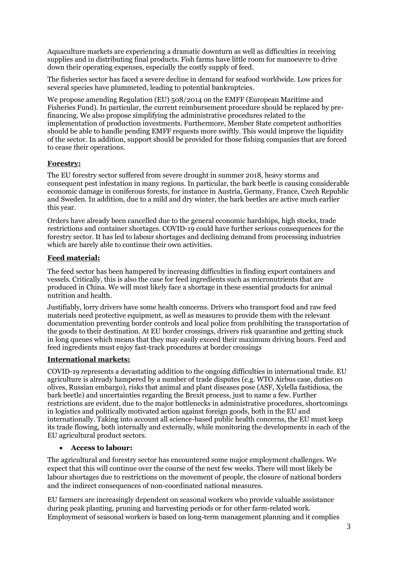Aquaculture markets are experiencing a dramatic downturn as well as difficulties in receiving supplies and in distributing final products. Fish farms have little room for manoeuvre to drive down their operating expenses, especially the costly supply of feed.

The fisheries sector has faced a severe decline in demand for seafood worldwide. Low prices for several species have plummeted, leading to potential bankruptcies.

We propose amending Regulation (EU) 508/2014 on the EMFF (European Maritime and Fisheries Fund). In particular, the current reimbursement procedure should be replaced by prefinancing. We also propose simplifying the administrative procedures related to the implementation of production investments. Furthermore, Member State competent authorities should be able to handle pending EMFF requests more swiftly. This would improve the liquidity of the sector. In addition, support should be provided for those fishing companies that are forced to cease their operations.

#### **Forestry:**

The EU forestry sector suffered from severe drought in summer 2018, heavy storms and consequent pest infestation in many regions. In particular, the bark beetle is causing considerable economic damage in coniferous forests, for instance in Austria, Germany, France, Czech Republic and Sweden. In addition, due to a mild and dry winter, the bark beetles are active much earlier this year.

Orders have already been cancelled due to the general economic hardships, high stocks, trade restrictions and container shortages. COVID-19 could have further serious consequences for the forestry sector. It has led to labour shortages and declining demand from processing industries which are barely able to continue their own activities.

#### **Feed material:**

The feed sector has been hampered by increasing difficulties in finding export containers and vessels. Critically, this is also the case for feed ingredients such as micronutrients that are produced in China. We will most likely face a shortage in these essential products for animal nutrition and health.

Justifiably, lorry drivers have some health concerns. Drivers who transport food and raw feed materials need protective equipment, as well as measures to provide them with the relevant documentation preventing border controls and local police from prohibiting the transportation of the goods to their destination. At EU border crossings, drivers risk quarantine and getting stuck in long queues which means that they may easily exceed their maximum driving hours. Feed and feed ingredients must enjoy fast-track procedures at border crossings

#### **International markets:**

COVID-19 represents a devastating addition to the ongoing difficulties in international trade. EU agriculture is already hampered by a number of trade disputes (e.g. WTO Airbus case, duties on olives, Russian embargo), risks that animal and plant diseases pose (ASF, Xylella fastidiosa, the bark beetle) and uncertainties regarding the Brexit process, just to name a few. Further restrictions are evident, due to the major bottlenecks in administrative procedures, shortcomings in logistics and politically motivated action against foreign goods, both in the EU and internationally. Taking into account all science-based public health concerns, the EU must keep its trade flowing, both internally and externally, while monitoring the developments in each of the EU agricultural product sectors.

#### **Access to labour:**

The agricultural and forestry sector has encountered some major employment challenges. We expect that this will continue over the course of the next few weeks. There will most likely be labour shortages due to restrictions on the movement of people, the closure of national borders and the indirect consequences of non-coordinated national measures.

EU farmers are increasingly dependent on seasonal workers who provide valuable assistance during peak planting, pruning and harvesting periods or for other farm-related work. Employment of seasonal workers is based on long-term management planning and it complies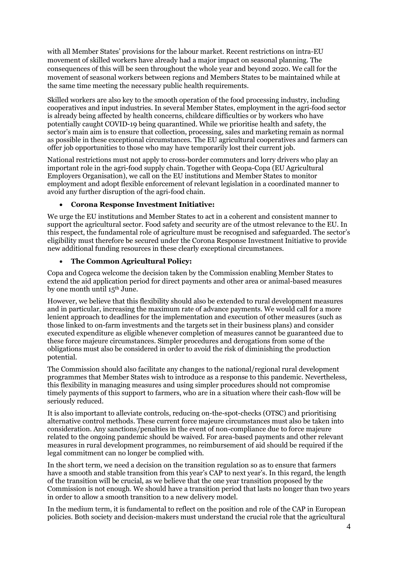with all Member States' provisions for the labour market. Recent restrictions on intra-EU movement of skilled workers have already had a major impact on seasonal planning. The consequences of this will be seen throughout the whole year and beyond 2020. We call for the movement of seasonal workers between regions and Members States to be maintained while at the same time meeting the necessary public health requirements.

Skilled workers are also key to the smooth operation of the food processing industry, including cooperatives and input industries. In several Member States, employment in the agri-food sector is already being affected by health concerns, childcare difficulties or by workers who have potentially caught COVID-19 being quarantined. While we prioritise health and safety, the sector's main aim is to ensure that collection, processing, sales and marketing remain as normal as possible in these exceptional circumstances. The EU agricultural cooperatives and farmers can offer job opportunities to those who may have temporarily lost their current job.

National restrictions must not apply to cross-border commuters and lorry drivers who play an important role in the agri-food supply chain. Together with Geopa-Copa (EU Agricultural Employers Organisation), we call on the EU institutions and Member States to monitor employment and adopt flexible enforcement of relevant legislation in a coordinated manner to avoid any further disruption of the agri-food chain.

#### **Corona Response Investment Initiative:**

We urge the EU institutions and Member States to act in a coherent and consistent manner to support the agricultural sector. Food safety and security are of the utmost relevance to the EU. In this respect, the fundamental role of agriculture must be recognised and safeguarded. The sector's eligibility must therefore be secured under the Corona Response Investment Initiative to provide new additional funding resources in these clearly exceptional circumstances.

#### **The Common Agricultural Policy:**

Copa and Cogeca welcome the decision taken by the Commission enabling Member States to extend the aid application period for direct payments and other area or animal-based measures by one month until 15th June.

However, we believe that this flexibility should also be extended to rural development measures and in particular, increasing the maximum rate of advance payments. We would call for a more lenient approach to deadlines for the implementation and execution of other measures (such as those linked to on-farm investments and the targets set in their business plans) and consider executed expenditure as eligible whenever completion of measures cannot be guaranteed due to these force majeure circumstances. Simpler procedures and derogations from some of the obligations must also be considered in order to avoid the risk of diminishing the production potential.

The Commission should also facilitate any changes to the national/regional rural development programmes that Member States wish to introduce as a response to this pandemic. Nevertheless, this flexibility in managing measures and using simpler procedures should not compromise timely payments of this support to farmers, who are in a situation where their cash-flow will be seriously reduced.

It is also important to alleviate controls, reducing on-the-spot-checks (OTSC) and prioritising alternative control methods. These current force majeure circumstances must also be taken into consideration. Any sanctions/penalties in the event of non-compliance due to force majeure related to the ongoing pandemic should be waived. For area-based payments and other relevant measures in rural development programmes, no reimbursement of aid should be required if the legal commitment can no longer be complied with.

In the short term, we need a decision on the transition regulation so as to ensure that farmers have a smooth and stable transition from this year's CAP to next year's. In this regard, the length of the transition will be crucial, as we believe that the one year transition proposed by the Commission is not enough. We should have a transition period that lasts no longer than two years in order to allow a smooth transition to a new delivery model.

In the medium term, it is fundamental to reflect on the position and role of the CAP in European policies. Both society and decision-makers must understand the crucial role that the agricultural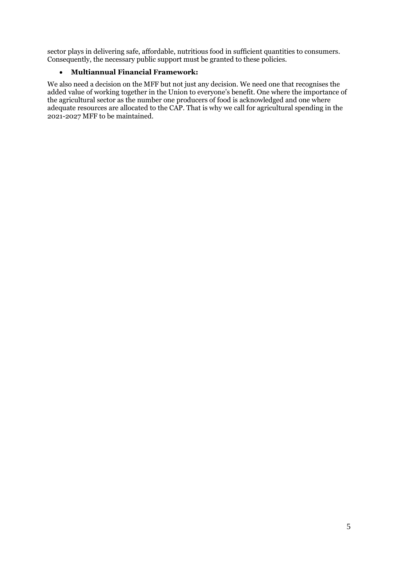sector plays in delivering safe, affordable, nutritious food in sufficient quantities to consumers. Consequently, the necessary public support must be granted to these policies.

#### **Multiannual Financial Framework:**

We also need a decision on the MFF but not just any decision. We need one that recognises the added value of working together in the Union to everyone's benefit. One where the importance of the agricultural sector as the number one producers of food is acknowledged and one where adequate resources are allocated to the CAP. That is why we call for agricultural spending in the 2021-2027 MFF to be maintained.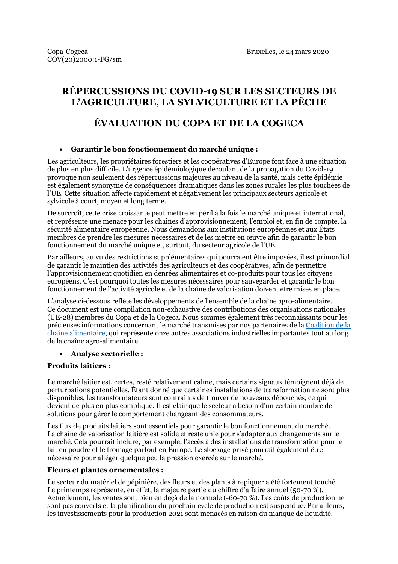# **RÉPERCUSSIONS DU COVID-19 SUR LES SECTEURS DE L'AGRICULTURE, LA SYLVICULTURE ET LA PÊCHE**

# **ÉVALUATION DU COPA ET DE LA COGECA**

#### **Garantir le bon fonctionnement du marché unique :**

Les agriculteurs, les propriétaires forestiers et les coopératives d'Europe font face à une situation de plus en plus difficile. L'urgence épidémiologique découlant de la propagation du Covid-19 provoque non seulement des répercussions majeures au niveau de la santé, mais cette épidémie est également synonyme de conséquences dramatiques dans les zones rurales les plus touchées de l'UE. Cette situation affecte rapidement et négativement les principaux secteurs agricole et sylvicole à court, moyen et long terme.

De surcroît, cette crise croissante peut mettre en péril à la fois le marché unique et international, et représente une menace pour les chaînes d'approvisionnement, l'emploi et, en fin de compte, la sécurité alimentaire européenne. Nous demandons aux institutions européennes et aux États membres de prendre les mesures nécessaires et de les mettre en œuvre afin de garantir le bon fonctionnement du marché unique et, surtout, du secteur agricole de l'UE.

Par ailleurs, au vu des restrictions supplémentaires qui pourraient être imposées, il est primordial de garantir le maintien des activités des agriculteurs et des coopératives, afin de permettre l'approvisionnement quotidien en denrées alimentaires et co-produits pour tous les citoyens européens. C'est pourquoi toutes les mesures nécessaires pour sauvegarder et garantir le bon fonctionnement de l'activité agricole et de la chaîne de valorisation doivent être mises en place.

L'analyse ci-dessous reflète les développements de l'ensemble de la chaîne agro-alimentaire. Ce document est une compilation non-exhaustive des contributions des organisations nationales (UE-28) membres du Copa et de la Cogeca. Nous sommes également très reconnaissants pour les précieuses informations concernant le marché transmises par nos partenaires de la [Coalition de la](https://agrifoodchaincoalition.eu/)  [chaîne alimentaire,](https://agrifoodchaincoalition.eu/) qui représente onze autres associations industrielles importantes tout au long de la chaîne agro-alimentaire.

#### **Analyse sectorielle :**

#### **Produits laitiers :**

Le marché laitier est, certes, resté relativement calme, mais certains signaux témoignent déjà de perturbations potentielles. Étant donné que certaines installations de transformation ne sont plus disponibles, les transformateurs sont contraints de trouver de nouveaux débouchés, ce qui devient de plus en plus compliqué. Il est clair que le secteur a besoin d'un certain nombre de solutions pour gérer le comportement changeant des consommateurs.

Les flux de produits laitiers sont essentiels pour garantir le bon fonctionnement du marché. La chaîne de valorisation laitière est solide et reste unie pour s'adapter aux changements sur le marché. Cela pourrait inclure, par exemple, l'accès à des installations de transformation pour le lait en poudre et le fromage partout en Europe. Le stockage privé pourrait également être nécessaire pour alléger quelque peu la pression exercée sur le marché.

#### **Fleurs et plantes ornementales :**

Le secteur du matériel de pépinière, des fleurs et des plants à repiquer a été fortement touché. Le printemps représente, en effet, la majeure partie du chiffre d'affaire annuel (50-70 %). Actuellement, les ventes sont bien en deçà de la normale (-60-70 %). Les coûts de production ne sont pas couverts et la planification du prochain cycle de production est suspendue. Par ailleurs, les investissements pour la production 2021 sont menacés en raison du manque de liquidité.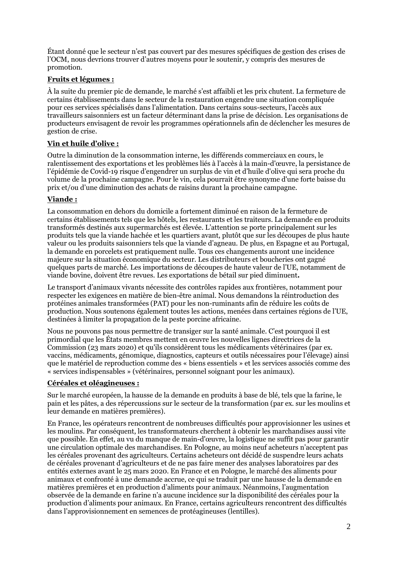Étant donné que le secteur n'est pas couvert par des mesures spécifiques de gestion des crises de l'OCM, nous devrions trouver d'autres moyens pour le soutenir, y compris des mesures de promotion.

#### **Fruits et légumes :**

À la suite du premier pic de demande, le marché s'est affaibli et les prix chutent. La fermeture de certains établissements dans le secteur de la restauration engendre une situation compliquée pour ces services spécialisés dans l'alimentation. Dans certains sous-secteurs, l'accès aux travailleurs saisonniers est un facteur déterminant dans la prise de décision. Les organisations de producteurs envisagent de revoir les programmes opérationnels afin de déclencher les mesures de gestion de crise.

# **Vin et huile d'olive :**

Outre la diminution de la consommation interne, les différends commerciaux en cours, le ralentissement des exportations et les problèmes liés à l'accès à la main-d'œuvre, la persistance de l'épidémie de Covid-19 risque d'engendrer un surplus de vin et d'huile d'olive qui sera proche du volume de la prochaine campagne. Pour le vin, cela pourrait être synonyme d'une forte baisse du prix et/ou d'une diminution des achats de raisins durant la prochaine campagne.

#### **Viande :**

La consommation en dehors du domicile a fortement diminué en raison de la fermeture de certains établissements tels que les hôtels, les restaurants et les traiteurs. La demande en produits transformés destinés aux supermarchés est élevée. L'attention se porte principalement sur les produits tels que la viande hachée et les quartiers avant, plutôt que sur les découpes de plus haute valeur ou les produits saisonniers tels que la viande d'agneau. De plus, en Espagne et au Portugal, la demande en porcelets est pratiquement nulle. Tous ces changements auront une incidence majeure sur la situation économique du secteur. Les distributeurs et boucheries ont gagné quelques parts de marché. Les importations de découpes de haute valeur de l'UE, notamment de viande bovine, doivent être revues. Les exportations de bétail sur pied diminuent**.**

Le transport d'animaux vivants nécessite des contrôles rapides aux frontières, notamment pour respecter les exigences en matière de bien-être animal. Nous demandons la réintroduction des protéines animales transformées (PAT) pour les non-ruminants afin de réduire les coûts de production. Nous soutenons également toutes les actions, menées dans certaines régions de l'UE, destinées à limiter la propagation de la peste porcine africaine.

Nous ne pouvons pas nous permettre de transiger sur la santé animale. C'est pourquoi il est primordial que les États membres mettent en œuvre les nouvelles lignes directrices de la Commission (23 mars 2020) et qu'ils considèrent tous les médicaments vétérinaires (par ex. vaccins, médicaments, génomique, diagnostics, capteurs et outils nécessaires pour l'élevage) ainsi que le matériel de reproduction comme des « biens essentiels » et les services associés comme des « services indispensables » (vétérinaires, personnel soignant pour les animaux).

#### **Céréales et oléagineuses :**

Sur le marché européen, la hausse de la demande en produits à base de blé, tels que la farine, le pain et les pâtes, a des répercussions sur le secteur de la transformation (par ex. sur les moulins et leur demande en matières premières).

En France, les opérateurs rencontrent de nombreuses difficultés pour approvisionner les usines et les moulins. Par conséquent, les transformateurs cherchent à obtenir les marchandises aussi vite que possible. En effet, au vu du manque de main-d'œuvre, la logistique ne suffit pas pour garantir une circulation optimale des marchandises. En Pologne, au moins neuf acheteurs n'acceptent pas les céréales provenant des agriculteurs. Certains acheteurs ont décidé de suspendre leurs achats de céréales provenant d'agriculteurs et de ne pas faire mener des analyses laboratoires par des entités externes avant le 25 mars 2020. En France et en Pologne, le marché des aliments pour animaux et confronté à une demande accrue, ce qui se traduit par une hausse de la demande en matières premières et en production d'aliments pour animaux. Néanmoins, l'augmentation observée de la demande en farine n'a aucune incidence sur la disponibilité des céréales pour la production d'aliments pour animaux. En France, certains agriculteurs rencontrent des difficultés dans l'approvisionnement en semences de protéagineuses (lentilles).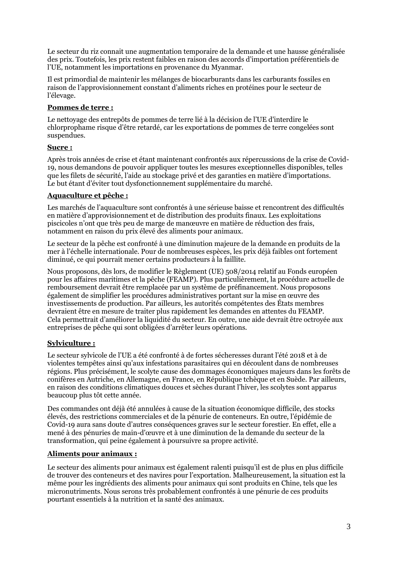Le secteur du riz connait une augmentation temporaire de la demande et une hausse généralisée des prix. Toutefois, les prix restent faibles en raison des accords d'importation préférentiels de l'UE, notamment les importations en provenance du Myanmar.

Il est primordial de maintenir les mélanges de biocarburants dans les carburants fossiles en raison de l'approvisionnement constant d'aliments riches en protéines pour le secteur de l'élevage.

#### **Pommes de terre :**

Le nettoyage des entrepôts de pommes de terre lié à la décision de l'UE d'interdire le chlorprophame risque d'être retardé, car les exportations de pommes de terre congelées sont suspendues.

#### **Sucre :**

Après trois années de crise et étant maintenant confrontés aux répercussions de la crise de Covid-19, nous demandons de pouvoir appliquer toutes les mesures exceptionnelles disponibles, telles que les filets de sécurité, l'aide au stockage privé et des garanties en matière d'importations. Le but étant d'éviter tout dysfonctionnement supplémentaire du marché.

#### **Aquaculture et pêche :**

Les marchés de l'aquaculture sont confrontés à une sérieuse baisse et rencontrent des difficultés en matière d'approvisionnement et de distribution des produits finaux. Les exploitations piscicoles n'ont que très peu de marge de manœuvre en matière de réduction des frais, notamment en raison du prix élevé des aliments pour animaux.

Le secteur de la pêche est confronté à une diminution majeure de la demande en produits de la mer à l'échelle internationale. Pour de nombreuses espèces, les prix déjà faibles ont fortement diminué, ce qui pourrait mener certains producteurs à la faillite.

Nous proposons, dès lors, de modifier le Règlement (UE) 508/2014 relatif au Fonds européen pour les affaires maritimes et la pêche (FEAMP). Plus particulièrement, la procédure actuelle de remboursement devrait être remplacée par un système de préfinancement. Nous proposons également de simplifier les procédures administratives portant sur la mise en œuvre des investissements de production. Par ailleurs, les autorités compétentes des États membres devraient être en mesure de traiter plus rapidement les demandes en attentes du FEAMP. Cela permettrait d'améliorer la liquidité du secteur. En outre, une aide devrait être octroyée aux entreprises de pêche qui sont obligées d'arrêter leurs opérations.

# **Sylviculture :**

Le secteur sylvicole de l'UE a été confronté à de fortes sécheresses durant l'été 2018 et à de violentes tempêtes ainsi qu'aux infestations parasitaires qui en découlent dans de nombreuses régions. Plus précisément, le scolyte cause des dommages économiques majeurs dans les forêts de conifères en Autriche, en Allemagne, en France, en République tchèque et en Suède. Par ailleurs, en raison des conditions climatiques douces et sèches durant l'hiver, les scolytes sont apparus beaucoup plus tôt cette année.

Des commandes ont déjà été annulées à cause de la situation économique difficile, des stocks élevés, des restrictions commerciales et de la pénurie de conteneurs. En outre, l'épidémie de Covid-19 aura sans doute d'autres conséquences graves sur le secteur forestier. En effet, elle a mené à des pénuries de main-d'œuvre et à une diminution de la demande du secteur de la transformation, qui peine également à poursuivre sa propre activité.

#### **Aliments pour animaux :**

Le secteur des aliments pour animaux est également ralenti puisqu'il est de plus en plus difficile de trouver des conteneurs et des navires pour l'exportation. Malheureusement, la situation est la même pour les ingrédients des aliments pour animaux qui sont produits en Chine, tels que les micronutriments. Nous serons très probablement confrontés à une pénurie de ces produits pourtant essentiels à la nutrition et la santé des animaux.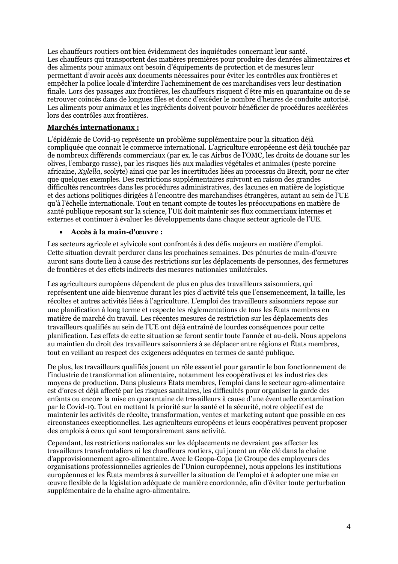Les chauffeurs routiers ont bien évidemment des inquiétudes concernant leur santé. Les chauffeurs qui transportent des matières premières pour produire des denrées alimentaires et des aliments pour animaux ont besoin d'équipements de protection et de mesures leur permettant d'avoir accès aux documents nécessaires pour éviter les contrôles aux frontières et empêcher la police locale d'interdire l'acheminement de ces marchandises vers leur destination finale. Lors des passages aux frontières, les chauffeurs risquent d'être mis en quarantaine ou de se retrouver coincés dans de longues files et donc d'excéder le nombre d'heures de conduite autorisé. Les aliments pour animaux et les ingrédients doivent pouvoir bénéficier de procédures accélérées lors des contrôles aux frontières.

#### **Marchés internationaux :**

L'épidémie de Covid-19 représente un problème supplémentaire pour la situation déjà compliquée que connait le commerce international. L'agriculture européenne est déjà touchée par de nombreux différends commerciaux (par ex. le cas Airbus de l'OMC, les droits de douane sur les olives, l'embargo russe), par les risques liés aux maladies végétales et animales (peste porcine africaine, *Xylella*, scolyte) ainsi que par les incertitudes liées au processus du Brexit, pour ne citer que quelques exemples. Des restrictions supplémentaires suivront en raison des grandes difficultés rencontrées dans les procédures administratives, des lacunes en matière de logistique et des actions politiques dirigées à l'encontre des marchandises étrangères, autant au sein de l'UE qu'à l'échelle internationale. Tout en tenant compte de toutes les préoccupations en matière de santé publique reposant sur la science, l'UE doit maintenir ses flux commerciaux internes et externes et continuer à évaluer les développements dans chaque secteur agricole de l'UE.

#### **Accès à la main-d'œuvre :**

Les secteurs agricole et sylvicole sont confrontés à des défis majeurs en matière d'emploi. Cette situation devrait perdurer dans les prochaines semaines. Des pénuries de main-d'œuvre auront sans doute lieu à cause des restrictions sur les déplacements de personnes, des fermetures de frontières et des effets indirects des mesures nationales unilatérales.

Les agriculteurs européens dépendent de plus en plus des travailleurs saisonniers, qui représentent une aide bienvenue durant les pics d'activité tels que l'ensemencement, la taille, les récoltes et autres activités liées à l'agriculture. L'emploi des travailleurs saisonniers repose sur une planification à long terme et respecte les règlementations de tous les États membres en matière de marché du travail. Les récentes mesures de restriction sur les déplacements des travailleurs qualifiés au sein de l'UE ont déjà entraîné de lourdes conséquences pour cette planification. Les effets de cette situation se feront sentir toute l'année et au-delà. Nous appelons au maintien du droit des travailleurs saisonniers à se déplacer entre régions et États membres, tout en veillant au respect des exigences adéquates en termes de santé publique.

De plus, les travailleurs qualifiés jouent un rôle essentiel pour garantir le bon fonctionnement de l'industrie de transformation alimentaire, notamment les coopératives et les industries des moyens de production. Dans plusieurs États membres, l'emploi dans le secteur agro-alimentaire est d'ores et déjà affecté par les risques sanitaires, les difficultés pour organiser la garde des enfants ou encore la mise en quarantaine de travailleurs à cause d'une éventuelle contamination par le Covid-19. Tout en mettant la priorité sur la santé et la sécurité, notre objectif est de maintenir les activités de récolte, transformation, ventes et marketing autant que possible en ces circonstances exceptionnelles. Les agriculteurs européens et leurs coopératives peuvent proposer des emplois à ceux qui sont temporairement sans activité.

Cependant, les restrictions nationales sur les déplacements ne devraient pas affecter les travailleurs transfrontaliers ni les chauffeurs routiers, qui jouent un rôle clé dans la chaîne d'approvisionnement agro-alimentaire. Avec le Geopa-Copa (le Groupe des employeurs des organisations professionnelles agricoles de l'Union européenne), nous appelons les institutions européennes et les États membres à surveiller la situation de l'emploi et à adopter une mise en œuvre flexible de la législation adéquate de manière coordonnée, afin d'éviter toute perturbation supplémentaire de la chaîne agro-alimentaire.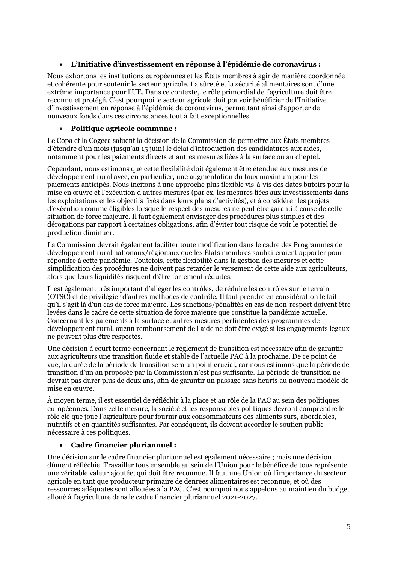#### **L'Initiative d'investissement en réponse à l'épidémie de coronavirus :**

Nous exhortons les institutions européennes et les États membres à agir de manière coordonnée et cohérente pour soutenir le secteur agricole. La sûreté et la sécurité alimentaires sont d'une extrême importance pour l'UE. Dans ce contexte, le rôle primordial de l'agriculture doit être reconnu et protégé. C'est pourquoi le secteur agricole doit pouvoir bénéficier de l'Initiative d'investissement en réponse à l'épidémie de coronavirus, permettant ainsi d'apporter de nouveaux fonds dans ces circonstances tout à fait exceptionnelles.

#### **Politique agricole commune :**

Le Copa et la Cogeca saluent la décision de la Commission de permettre aux États membres d'étendre d'un mois (jusqu'au 15 juin) le délai d'introduction des candidatures aux aides, notamment pour les paiements directs et autres mesures liées à la surface ou au cheptel.

Cependant, nous estimons que cette flexibilité doit également être étendue aux mesures de développement rural avec, en particulier, une augmentation du taux maximum pour les paiements anticipés. Nous incitons à une approche plus flexible vis-à-vis des dates butoirs pour la mise en œuvre et l'exécution d'autres mesures (par ex. les mesures liées aux investissements dans les exploitations et les objectifs fixés dans leurs plans d'activités), et à considérer les projets d'exécution comme éligibles lorsque le respect des mesures ne peut être garanti à cause de cette situation de force majeure. Il faut également envisager des procédures plus simples et des dérogations par rapport à certaines obligations, afin d'éviter tout risque de voir le potentiel de production diminuer.

La Commission devrait également faciliter toute modification dans le cadre des Programmes de développement rural nationaux/régionaux que les États membres souhaiteraient apporter pour répondre à cette pandémie. Toutefois, cette flexibilité dans la gestion des mesures et cette simplification des procédures ne doivent pas retarder le versement de cette aide aux agriculteurs, alors que leurs liquidités risquent d'être fortement réduites.

Il est également très important d'alléger les contrôles, de réduire les contrôles sur le terrain (OTSC) et de privilégier d'autres méthodes de contrôle. Il faut prendre en considération le fait qu'il s'agit là d'un cas de force majeure. Les sanctions/pénalités en cas de non-respect doivent être levées dans le cadre de cette situation de force majeure que constitue la pandémie actuelle. Concernant les paiements à la surface et autres mesures pertinentes des programmes de développement rural, aucun remboursement de l'aide ne doit être exigé si les engagements légaux ne peuvent plus être respectés.

Une décision à court terme concernant le règlement de transition est nécessaire afin de garantir aux agriculteurs une transition fluide et stable de l'actuelle PAC à la prochaine. De ce point de vue, la durée de la période de transition sera un point crucial, car nous estimons que la période de transition d'un an proposée par la Commission n'est pas suffisante. La période de transition ne devrait pas durer plus de deux ans, afin de garantir un passage sans heurts au nouveau modèle de mise en œuvre.

À moyen terme, il est essentiel de réfléchir à la place et au rôle de la PAC au sein des politiques européennes. Dans cette mesure, la société et les responsables politiques devront comprendre le rôle clé que joue l'agriculture pour fournir aux consommateurs des aliments sûrs, abordables, nutritifs et en quantités suffisantes. Par conséquent, ils doivent accorder le soutien public nécessaire à ces politiques.

#### **Cadre financier pluriannuel :**

Une décision sur le cadre financier pluriannuel est également nécessaire ; mais une décision dûment réfléchie. Travailler tous ensemble au sein de l'Union pour le bénéfice de tous représente une véritable valeur ajoutée, qui doit être reconnue. Il faut une Union où l'importance du secteur agricole en tant que producteur primaire de denrées alimentaires est reconnue, et où des ressources adéquates sont allouées à la PAC. C'est pourquoi nous appelons au maintien du budget alloué à l'agriculture dans le cadre financier pluriannuel 2021-2027.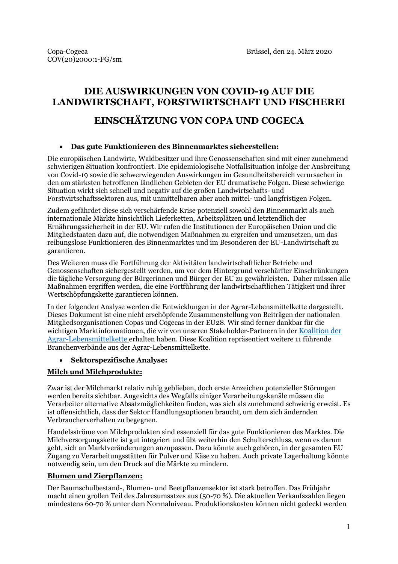# **DIE AUSWIRKUNGEN VON COVID-19 AUF DIE LANDWIRTSCHAFT, FORSTWIRTSCHAFT UND FISCHEREI**

# **EINSCHÄTZUNG VON COPA UND COGECA**

#### **Das gute Funktionieren des Binnenmarktes sicherstellen:**

Die europäischen Landwirte, Waldbesitzer und ihre Genossenschaften sind mit einer zunehmend schwierigen Situation konfrontiert. Die epidemiologische Notfallsituation infolge der Ausbreitung von Covid-19 sowie die schwerwiegenden Auswirkungen im Gesundheitsbereich verursachen in den am stärksten betroffenen ländlichen Gebieten der EU dramatische Folgen. Diese schwierige Situation wirkt sich schnell und negativ auf die großen Landwirtschafts- und Forstwirtschaftssektoren aus, mit unmittelbaren aber auch mittel- und langfristigen Folgen.

Zudem gefährdet diese sich verschärfende Krise potenziell sowohl den Binnenmarkt als auch internationale Märkte hinsichtlich Lieferketten, Arbeitsplätzen und letztendlich der Ernährungssicherheit in der EU. Wir rufen die Institutionen der Europäischen Union und die Mitgliedstaaten dazu auf, die notwendigen Maßnahmen zu ergreifen und umzusetzen, um das reibungslose Funktionieren des Binnenmarktes und im Besonderen der EU-Landwirtschaft zu garantieren.

Des Weiteren muss die Fortführung der Aktivitäten landwirtschaftlicher Betriebe und Genossenschaften sichergestellt werden, um vor dem Hintergrund verschärfter Einschränkungen die tägliche Versorgung der Bürgerinnen und Bürger der EU zu gewährleisten. Daher müssen alle Maßnahmen ergriffen werden, die eine Fortführung der landwirtschaftlichen Tätigkeit und ihrer Wertschöpfungskette garantieren können.

In der folgenden Analyse werden die Entwicklungen in der Agrar-Lebensmittelkette dargestellt. Dieses Dokument ist eine nicht erschöpfende Zusammenstellung von Beiträgen der nationalen Mitgliedsorganisationen Copas und Cogecas in der EU28. Wir sind ferner dankbar für die wichtigen Marktinformationen, die wir von unseren Stakeholder-Partnern in der [Koalition der](https://agrifoodchaincoalition.eu/)  [Agrar-Lebensmittelkette](https://agrifoodchaincoalition.eu/) erhalten haben. Diese Koalition repräsentiert weitere 11 führende Branchenverbände aus der Agrar-Lebensmittelkette.

#### **Sektorspezifische Analyse:**

# **Milch und Milchprodukte:**

Zwar ist der Milchmarkt relativ ruhig geblieben, doch erste Anzeichen potenzieller Störungen werden bereits sichtbar. Angesichts des Wegfalls einiger Verarbeitungskanäle müssen die Verarbeiter alternative Absatzmöglichkeiten finden, was sich als zunehmend schwierig erweist. Es ist offensichtlich, dass der Sektor Handlungsoptionen braucht, um dem sich ändernden Verbraucherverhalten zu begegnen.

Handelsströme von Milchprodukten sind essenziell für das gute Funktionieren des Marktes. Die Milchversorgungskette ist gut integriert und übt weiterhin den Schulterschluss, wenn es darum geht, sich an Marktveränderungen anzupassen. Dazu könnte auch gehören, in der gesamten EU Zugang zu Verarbeitungsstätten für Pulver und Käse zu haben. Auch private Lagerhaltung könnte notwendig sein, um den Druck auf die Märkte zu mindern.

#### **Blumen und Zierpflanzen:**

Der Baumschulbestand-, Blumen- und Beetpflanzensektor ist stark betroffen. Das Frühjahr macht einen großen Teil des Jahresumsatzes aus (50-70 %). Die aktuellen Verkaufszahlen liegen mindestens 60-70 % unter dem Normalniveau. Produktionskosten können nicht gedeckt werden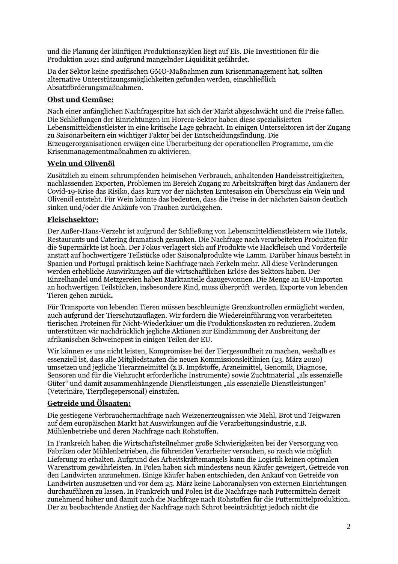und die Planung der künftigen Produktionszyklen liegt auf Eis. Die Investitionen für die Produktion 2021 sind aufgrund mangelnder Liquidität gefährdet.

Da der Sektor keine spezifischen GMO-Maßnahmen zum Krisenmanagement hat, sollten alternative Unterstützungsmöglichkeiten gefunden werden, einschließlich Absatzförderungsmaßnahmen.

## **Obst und Gemüse:**

Nach einer anfänglichen Nachfragespitze hat sich der Markt abgeschwächt und die Preise fallen. Die Schließungen der Einrichtungen im Horeca-Sektor haben diese spezialisierten Lebensmitteldienstleister in eine kritische Lage gebracht. In einigen Untersektoren ist der Zugang zu Saisonarbeitern ein wichtiger Faktor bei der Entscheidungsfindung. Die Erzeugerorganisationen erwägen eine Überarbeitung der operationellen Programme, um die Krisenmanagementmaßnahmen zu aktivieren.

# **Wein und Olivenöl**

Zusätzlich zu einem schrumpfenden heimischen Verbrauch, anhaltenden Handelsstreitigkeiten, nachlassenden Exporten, Problemen im Bereich Zugang zu Arbeitskräften birgt das Andauern der Covid-19-Krise das Risiko, dass kurz vor der nächsten Erntesaison ein Überschuss ein Wein und Olivenöl entsteht. Für Wein könnte das bedeuten, dass die Preise in der nächsten Saison deutlich sinken und/oder die Ankäufe von Trauben zurückgehen.

#### **Fleischsektor:**

Der Außer-Haus-Verzehr ist aufgrund der Schließung von Lebensmitteldienstleistern wie Hotels, Restaurants und Catering dramatisch gesunken. Die Nachfrage nach verarbeiteten Produkten für die Supermärkte ist hoch. Der Fokus verlagert sich auf Produkte wie Hackfleisch und Vorderteile anstatt auf hochwertigere Teilstücke oder Saisonalprodukte wie Lamm. Darüber hinaus besteht in Spanien und Portugal praktisch keine Nachfrage nach Ferkeln mehr. All diese Veränderungen werden erhebliche Auswirkungen auf die wirtschaftlichen Erlöse des Sektors haben. Der Einzelhandel und Metzgereien haben Marktanteile dazugewonnen. Die Menge an EU-Importen an hochwertigen Teilstücken, insbesondere Rind, muss überprüft werden. Exporte von lebenden Tieren gehen zurück**.**

Für Transporte von lebenden Tieren müssen beschleunigte Grenzkontrollen ermöglicht werden, auch aufgrund der Tierschutzauflagen. Wir fordern die Wiedereinführung von verarbeiteten tierischen Proteinen für Nicht-Wiederkäuer um die Produktionskosten zu reduzieren. Zudem unterstützen wir nachdrücklich jegliche Aktionen zur Eindämmung der Ausbreitung der afrikanischen Schweinepest in einigen Teilen der EU.

Wir können es uns nicht leisten, Kompromisse bei der Tiergesundheit zu machen, weshalb es essenziell ist, dass alle Mitgliedstaaten die neuen Kommissionsleitlinien (23. März 2020) umsetzen und jegliche Tierarzneimittel (z.B. Impfstoffe, Arzneimittel, Genomik, Diagnose, Sensoren und für die Viehzucht erforderliche Instrumente) sowie Zuchtmaterial "als essenzielle Güter" und damit zusammenhängende Dienstleistungen "als essenzielle Dienstleistungen" (Veterinäre, Tierpflegepersonal) einstufen.

# **Getreide und Ölsaaten:**

Die gestiegene Verbrauchernachfrage nach Weizenerzeugnissen wie Mehl, Brot und Teigwaren auf dem europäischen Markt hat Auswirkungen auf die Verarbeitungsindustrie, z.B. Mühlenbetriebe und deren Nachfrage nach Rohstoffen.

In Frankreich haben die Wirtschaftsteilnehmer große Schwierigkeiten bei der Versorgung von Fabriken oder Mühlenbetrieben, die führenden Verarbeiter versuchen, so rasch wie möglich Lieferung zu erhalten. Aufgrund des Arbeitskräftemangels kann die Logistik keinen optimalen Warenstrom gewährleisten. In Polen haben sich mindestens neun Käufer geweigert, Getreide von den Landwirten anzunehmen. Einige Käufer haben entschieden, den Ankauf von Getreide von Landwirten auszusetzen und vor dem 25. März keine Laboranalysen von externen Einrichtungen durchzuführen zu lassen. In Frankreich und Polen ist die Nachfrage nach Futtermitteln derzeit zunehmend höher und damit auch die Nachfrage nach Rohstoffen für die Futtermittelproduktion. Der zu beobachtende Anstieg der Nachfrage nach Schrot beeinträchtigt jedoch nicht die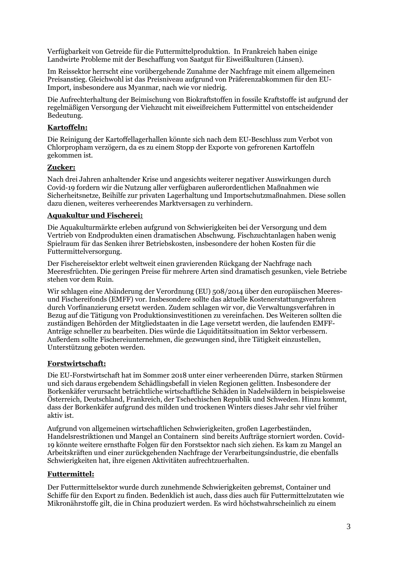Verfügbarkeit von Getreide für die Futtermittelproduktion. In Frankreich haben einige Landwirte Probleme mit der Beschaffung von Saatgut für Eiweißkulturen (Linsen).

Im Reissektor herrscht eine vorübergehende Zunahme der Nachfrage mit einem allgemeinen Preisanstieg. Gleichwohl ist das Preisniveau aufgrund von Präferenzabkommen für den EU-Import, insbesondere aus Myanmar, nach wie vor niedrig.

Die Aufrechterhaltung der Beimischung von Biokraftstoffen in fossile Kraftstoffe ist aufgrund der regelmäßigen Versorgung der Viehzucht mit eiweißreichem Futtermittel von entscheidender Bedeutung.

#### **Kartoffeln:**

Die Reinigung der Kartoffellagerhallen könnte sich nach dem EU-Beschluss zum Verbot von Chlorpropham verzögern, da es zu einem Stopp der Exporte von gefrorenen Kartoffeln gekommen ist.

#### **Zucker:**

Nach drei Jahren anhaltender Krise und angesichts weiterer negativer Auswirkungen durch Covid-19 fordern wir die Nutzung aller verfügbaren außerordentlichen Maßnahmen wie Sicherheitsnetze, Beihilfe zur privaten Lagerhaltung und Importschutzmaßnahmen. Diese sollen dazu dienen, weiteres verheerendes Marktversagen zu verhindern.

#### **Aquakultur und Fischerei:**

Die Aquakulturmärkte erleben aufgrund von Schwierigkeiten bei der Versorgung und dem Vertrieb von Endprodukten einen dramatischen Abschwung. Fischzuchtanlagen haben wenig Spielraum für das Senken ihrer Betriebskosten, insbesondere der hohen Kosten für die Futtermittelversorgung.

Der Fischereisektor erlebt weltweit einen gravierenden Rückgang der Nachfrage nach Meeresfrüchten. Die geringen Preise für mehrere Arten sind dramatisch gesunken, viele Betriebe stehen vor dem Ruin.

Wir schlagen eine Abänderung der Verordnung (EU) 508/2014 über den europäischen Meeresund Fischereifonds (EMFF) vor. Insbesondere sollte das aktuelle Kostenerstattungsverfahren durch Vorfinanzierung ersetzt werden. Zudem schlagen wir vor, die Verwaltungsverfahren in Bezug auf die Tätigung von Produktionsinvestitionen zu vereinfachen. Des Weiteren sollten die zuständigen Behörden der Mitgliedstaaten in die Lage versetzt werden, die laufenden EMFF-Anträge schneller zu bearbeiten. Dies würde die Liquiditätssituation im Sektor verbessern. Außerdem sollte Fischereiunternehmen, die gezwungen sind, ihre Tätigkeit einzustellen, Unterstützung geboten werden.

# **Forstwirtschaft:**

Die EU-Forstwirtschaft hat im Sommer 2018 unter einer verheerenden Dürre, starken Stürmen und sich daraus ergebendem Schädlingsbefall in vielen Regionen gelitten. Insbesondere der Borkenkäfer verursacht beträchtliche wirtschaftliche Schäden in Nadelwäldern in beispielsweise Österreich, Deutschland, Frankreich, der Tschechischen Republik und Schweden. Hinzu kommt, dass der Borkenkäfer aufgrund des milden und trockenen Winters dieses Jahr sehr viel früher aktiv ist.

Aufgrund von allgemeinen wirtschaftlichen Schwierigkeiten, großen Lagerbeständen, Handelsrestriktionen und Mangel an Containern sind bereits Aufträge storniert worden. Covid-19 könnte weitere ernsthafte Folgen für den Forstsektor nach sich ziehen. Es kam zu Mangel an Arbeitskräften und einer zurückgehenden Nachfrage der Verarbeitungsindustrie, die ebenfalls Schwierigkeiten hat, ihre eigenen Aktivitäten aufrechtzuerhalten.

# **Futtermittel:**

Der Futtermittelsektor wurde durch zunehmende Schwierigkeiten gebremst, Container und Schiffe für den Export zu finden. Bedenklich ist auch, dass dies auch für Futtermittelzutaten wie Mikronährstoffe gilt, die in China produziert werden. Es wird höchstwahrscheinlich zu einem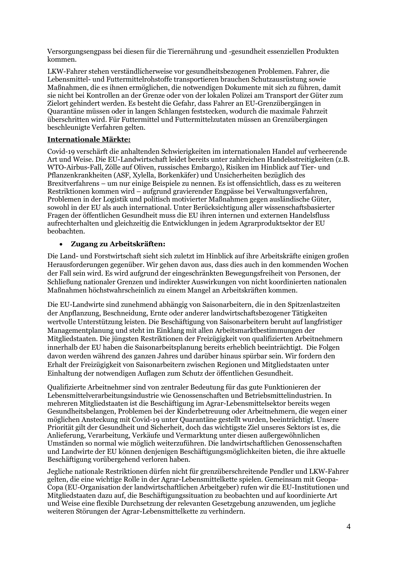Versorgungsengpass bei diesen für die Tierernährung und -gesundheit essenziellen Produkten kommen.

LKW-Fahrer stehen verständlicherweise vor gesundheitsbezogenen Problemen. Fahrer, die Lebensmittel- und Futtermittelrohstoffe transportieren brauchen Schutzausrüstung sowie Maßnahmen, die es ihnen ermöglichen, die notwendigen Dokumente mit sich zu führen, damit sie nicht bei Kontrollen an der Grenze oder von der lokalen Polizei am Transport der Güter zum Zielort gehindert werden. Es besteht die Gefahr, dass Fahrer an EU-Grenzübergängen in Quarantäne müssen oder in langen Schlangen feststecken, wodurch die maximale Fahrzeit überschritten wird. Für Futtermittel und Futtermittelzutaten müssen an Grenzübergängen beschleunigte Verfahren gelten.

#### **Internationale Märkte:**

Covid-19 verschärft die anhaltenden Schwierigkeiten im internationalen Handel auf verheerende Art und Weise. Die EU-Landwirtschaft leidet bereits unter zahlreichen Handelsstreitigkeiten (z.B. WTO-Airbus-Fall, Zölle auf Oliven, russisches Embargo), Risiken im Hinblick auf Tier- und Pflanzenkrankheiten (ASF, Xylella, Borkenkäfer) und Unsicherheiten bezüglich des Brexitverfahrens – um nur einige Beispiele zu nennen. Es ist offensichtlich, dass es zu weiteren Restriktionen kommen wird – aufgrund gravierender Engpässe bei Verwaltungsverfahren, Problemen in der Logistik und politisch motivierter Maßnahmen gegen ausländische Güter, sowohl in der EU als auch international. Unter Berücksichtigung aller wissenschaftsbasierter Fragen der öffentlichen Gesundheit muss die EU ihren internen und externen Handelsfluss aufrechterhalten und gleichzeitig die Entwicklungen in jedem Agrarproduktsektor der EU beobachten.

#### **Zugang zu Arbeitskräften:**

Die Land- und Forstwirtschaft sieht sich zuletzt im Hinblick auf ihre Arbeitskräfte einigen großen Herausforderungen gegenüber. Wir gehen davon aus, dass dies auch in den kommenden Wochen der Fall sein wird. Es wird aufgrund der eingeschränkten Bewegungsfreiheit von Personen, der Schließung nationaler Grenzen und indirekter Auswirkungen von nicht koordinierten nationalen Maßnahmen höchstwahrscheinlich zu einem Mangel an Arbeitskräften kommen.

Die EU-Landwirte sind zunehmend abhängig von Saisonarbeitern, die in den Spitzenlastzeiten der Anpflanzung, Beschneidung, Ernte oder anderer landwirtschaftsbezogener Tätigkeiten wertvolle Unterstützung leisten. Die Beschäftigung von Saisonarbeitern beruht auf langfristiger Managementplanung und steht im Einklang mit allen Arbeitsmarktbestimmungen der Mitgliedstaaten. Die jüngsten Restriktionen der Freizügigkeit von qualifizierten Arbeitnehmern innerhalb der EU haben die Saisonarbeitsplanung bereits erheblich beeinträchtigt. Die Folgen davon werden während des ganzen Jahres und darüber hinaus spürbar sein. Wir fordern den Erhalt der Freizügigkeit von Saisonarbeitern zwischen Regionen und Mitgliedstaaten unter Einhaltung der notwendigen Auflagen zum Schutz der öffentlichen Gesundheit.

Qualifizierte Arbeitnehmer sind von zentraler Bedeutung für das gute Funktionieren der Lebensmittelverarbeitungsindustrie wie Genossenschaften und Betriebsmittelindustrien. In mehreren Mitgliedstaaten ist die Beschäftigung im Agrar-Lebensmittelsektor bereits wegen Gesundheitsbelangen, Problemen bei der Kinderbetreuung oder Arbeitnehmern, die wegen einer möglichen Ansteckung mit Covid-19 unter Quarantäne gestellt wurden, beeinträchtigt. Unsere Priorität gilt der Gesundheit und Sicherheit, doch das wichtigste Ziel unseres Sektors ist es, die Anlieferung, Verarbeitung, Verkäufe und Vermarktung unter diesen außergewöhnlichen Umständen so normal wie möglich weiterzuführen. Die landwirtschaftlichen Genossenschaften und Landwirte der EU können denjenigen Beschäftigungsmöglichkeiten bieten, die ihre aktuelle Beschäftigung vorübergehend verloren haben.

Jegliche nationale Restriktionen dürfen nicht für grenzüberschreitende Pendler und LKW-Fahrer gelten, die eine wichtige Rolle in der Agrar-Lebensmittelkette spielen. Gemeinsam mit Geopa-Copa (EU-Organisation der landwirtschaftlichen Arbeitgeber) rufen wir die EU-Institutionen und Mitgliedstaaten dazu auf, die Beschäftigungssituation zu beobachten und auf koordinierte Art und Weise eine flexible Durchsetzung der relevanten Gesetzgebung anzuwenden, um jegliche weiteren Störungen der Agrar-Lebensmittelkette zu verhindern.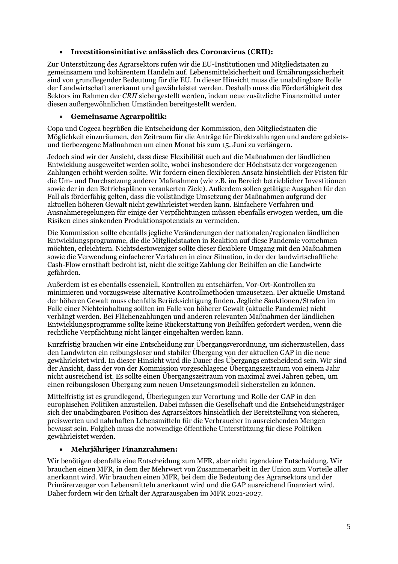#### **Investitionsinitiative anlässlich des Coronavirus (CRII):**

Zur Unterstützung des Agrarsektors rufen wir die EU-Institutionen und Mitgliedstaaten zu gemeinsamem und kohärentem Handeln auf. Lebensmittelsicherheit und Ernährungssicherheit sind von grundlegender Bedeutung für die EU. In dieser Hinsicht muss die unabdingbare Rolle der Landwirtschaft anerkannt und gewährleistet werden. Deshalb muss die Förderfähigkeit des Sektors im Rahmen der *CRII* sichergestellt werden, indem neue zusätzliche Finanzmittel unter diesen außergewöhnlichen Umständen bereitgestellt werden.

#### **Gemeinsame Agrarpolitik:**

Copa und Cogeca begrüßen die Entscheidung der Kommission, den Mitgliedstaaten die Möglichkeit einzuräumen, den Zeitraum für die Anträge für Direktzahlungen und andere gebietsund tierbezogene Maßnahmen um einen Monat bis zum 15. Juni zu verlängern.

Jedoch sind wir der Ansicht, dass diese Flexibilität auch auf die Maßnahmen der ländlichen Entwicklung ausgeweitet werden sollte, wobei insbesondere der Höchstsatz der vorgezogenen Zahlungen erhöht werden sollte. Wir fordern einen flexibleren Ansatz hinsichtlich der Fristen für die Um- und Durchsetzung anderer Maßnahmen (wie z.B. im Bereich betrieblicher Investitionen sowie der in den Betriebsplänen verankerten Ziele). Außerdem sollen getätigte Ausgaben für den Fall als förderfähig gelten, dass die vollständige Umsetzung der Maßnahmen aufgrund der aktuellen höheren Gewalt nicht gewährleistet werden kann. Einfachere Verfahren und Ausnahmeregelungen für einige der Verpflichtungen müssen ebenfalls erwogen werden, um die Risiken eines sinkenden Produktionspotenzials zu vermeiden.

Die Kommission sollte ebenfalls jegliche Veränderungen der nationalen/regionalen ländlichen Entwicklungsprogramme, die die Mitgliedstaaten in Reaktion auf diese Pandemie vornehmen möchten, erleichtern. Nichtsdestoweniger sollte dieser flexiblere Umgang mit den Maßnahmen sowie die Verwendung einfacherer Verfahren in einer Situation, in der der landwirtschaftliche Cash-Flow ernsthaft bedroht ist, nicht die zeitige Zahlung der Beihilfen an die Landwirte gefährden.

Außerdem ist es ebenfalls essenziell, Kontrollen zu entschärfen, Vor-Ort-Kontrollen zu minimieren und vorzugsweise alternative Kontrollmethoden umzusetzen. Der aktuelle Umstand der höheren Gewalt muss ebenfalls Berücksichtigung finden. Jegliche Sanktionen/Strafen im Falle einer Nichteinhaltung sollten im Falle von höherer Gewalt (aktuelle Pandemie) nicht verhängt werden. Bei Flächenzahlungen und anderen relevanten Maßnahmen der ländlichen Entwicklungsprogramme sollte keine Rückerstattung von Beihilfen gefordert werden, wenn die rechtliche Verpflichtung nicht länger eingehalten werden kann.

Kurzfristig brauchen wir eine Entscheidung zur Übergangsverordnung, um sicherzustellen, dass den Landwirten ein reibungsloser und stabiler Übergang von der aktuellen GAP in die neue gewährleistet wird. In dieser Hinsicht wird die Dauer des Übergangs entscheidend sein. Wir sind der Ansicht, dass der von der Kommission vorgeschlagene Übergangszeitraum von einem Jahr nicht ausreichend ist. Es sollte einen Übergangszeitraum von maximal zwei Jahren geben, um einen reibungslosen Übergang zum neuen Umsetzungsmodell sicherstellen zu können.

Mittelfristig ist es grundlegend, Überlegungen zur Verortung und Rolle der GAP in den europäischen Politiken anzustellen. Dabei müssen die Gesellschaft und die Entscheidungsträger sich der unabdingbaren Position des Agrarsektors hinsichtlich der Bereitstellung von sicheren, preiswerten und nahrhaften Lebensmitteln für die Verbraucher in ausreichenden Mengen bewusst sein. Folglich muss die notwendige öffentliche Unterstützung für diese Politiken gewährleistet werden.

#### **Mehrjähriger Finanzrahmen:**

Wir benötigen ebenfalls eine Entscheidung zum MFR, aber nicht irgendeine Entscheidung. Wir brauchen einen MFR, in dem der Mehrwert von Zusammenarbeit in der Union zum Vorteile aller anerkannt wird. Wir brauchen einen MFR, bei dem die Bedeutung des Agrarsektors und der Primärerzeuger von Lebensmitteln anerkannt wird und die GAP ausreichend finanziert wird. Daher fordern wir den Erhalt der Agrarausgaben im MFR 2021-2027.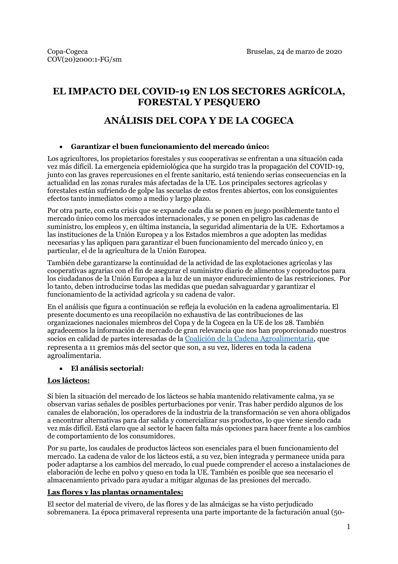# **EL IMPACTO DEL COVID-19 EN LOS SECTORES AGRÍCOLA, FORESTAL Y PESQUERO**

# **ANÁLISIS DEL COPA Y DE LA COGECA**

#### **Garantizar el buen funcionamiento del mercado único:**

Los agricultores, los propietarios forestales y sus cooperativas se enfrentan a una situación cada vez más difícil. La emergencia epidemiológica que ha surgido tras la propagación del COVID-19, junto con las graves repercusiones en el frente sanitario, está teniendo serias consecuencias en la actualidad en las zonas rurales más afectadas de la UE. Los principales sectores agrícolas y forestales están sufriendo de golpe las secuelas de estos frentes abiertos, con los consiguientes efectos tanto inmediatos como a medio y largo plazo.

Por otra parte, con esta crisis que se expande cada día se ponen en juego posiblemente tanto el mercado único como los mercados internacionales, y se ponen en peligro las cadenas de suministro, los empleos y, en última instancia, la seguridad alimentaria de la UE. Exhortamos a las instituciones de la Unión Europea y a los Estados miembros a que adopten las medidas necesarias y las apliquen para garantizar el buen funcionamiento del mercado único y, en particular, el de la agricultura de la Unión Europea.

También debe garantizarse la continuidad de la actividad de las explotaciones agrícolas y las cooperativas agrarias con el fin de asegurar el suministro diario de alimentos y coproductos para los ciudadanos de la Unión Europea a la luz de un mayor endurecimiento de las restricciones. Por lo tanto, deben introducirse todas las medidas que puedan salvaguardar y garantizar el funcionamiento de la actividad agrícola y su cadena de valor.

En el análisis que figura a continuación se refleja la evolución en la cadena agroalimentaria. El presente documento es una recopilación no exhaustiva de las contribuciones de las organizaciones nacionales miembros del Copa y de la Cogeca en la UE de los 28. También agradecemos la información de mercado de gran relevancia que nos han proporcionado nuestros socios en calidad de partes interesadas de la [Coalición de la Cadena Agroalimentaria,](https://agrifoodchaincoalition.eu/) que representa a 11 gremios más del sector que son, a su vez, líderes en toda la cadena agroalimentaria.

# **El análisis sectorial:**

# **Los lácteos:**

Si bien la situación del mercado de los lácteos se había mantenido relativamente calma, ya se observan varias señales de posibles perturbaciones por venir. Tras haber perdido algunos de los canales de elaboración, los operadores de la industria de la transformación se ven ahora obligados a encontrar alternativas para dar salida y comercializar sus productos, lo que viene siendo cada vez más difícil. Está claro que al sector le hacen falta más opciones para hacer frente a los cambios de comportamiento de los consumidores.

Por su parte, los caudales de productos lácteos son esenciales para el buen funcionamiento del mercado. La cadena de valor de los lácteos está, a su vez, bien integrada y permanece unida para poder adaptarse a los cambios del mercado, lo cual puede comprender el acceso a instalaciones de elaboración de leche en polvo y queso en toda la UE. También es posible que sea necesario el almacenamiento privado para ayudar a mitigar algunas de las presiones del mercado.

#### **Las flores y las plantas ornamentales:**

El sector del material de vivero, de las flores y de las almácigas se ha visto perjudicado sobremanera. La época primaveral representa una parte importante de la facturación anual (50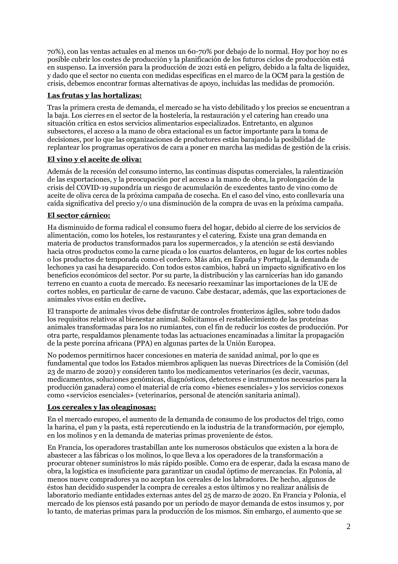70%), con las ventas actuales en al menos un 60-70% por debajo de lo normal. Hoy por hoy no es posible cubrir los costes de producción y la planificación de los futuros ciclos de producción está en suspenso. La inversión para la producción de 2021 está en peligro, debido a la falta de liquidez, y dado que el sector no cuenta con medidas específicas en el marco de la OCM para la gestión de crisis, debemos encontrar formas alternativas de apoyo, incluidas las medidas de promoción.

#### **Las frutas y las hortalizas:**

Tras la primera cresta de demanda, el mercado se ha visto debilitado y los precios se encuentran a la baja. Los cierres en el sector de la hostelería, la restauración y el catering han creado una situación crítica en estos servicios alimentarios especializados. Entretanto, en algunos subsectores, el acceso a la mano de obra estacional es un factor importante para la toma de decisiones, por lo que las organizaciones de productores están barajando la posibilidad de replantear los programas operativos de cara a poner en marcha las medidas de gestión de la crisis.

#### **El vino y el aceite de oliva:**

Además de la recesión del consumo interno, las continuas disputas comerciales, la ralentización de las exportaciones, y la preocupación por el acceso a la mano de obra, la prolongación de la crisis del COVID-19 supondría un riesgo de acumulación de excedentes tanto de vino como de aceite de oliva cerca de la próxima campaña de cosecha. En el caso del vino, esto conllevaría una caída significativa del precio y/o una disminución de la compra de uvas en la próxima campaña.

#### **El sector cárnico:**

Ha disminuido de forma radical el consumo fuera del hogar, debido al cierre de los servicios de alimentación, como los hoteles, los restaurantes y el catering. Existe una gran demanda en materia de productos transformados para los supermercados, y la atención se está desviando hacia otros productos como la carne picada o los cuartos delanteros, en lugar de los cortes nobles o los productos de temporada como el cordero. Más aún, en España y Portugal, la demanda de lechones ya casi ha desaparecido. Con todos estos cambios, habrá un impacto significativo en los beneficios económicos del sector. Por su parte, la distribución y las carnicerías han ido ganando terreno en cuanto a cuota de mercado. Es necesario reexaminar las importaciones de la UE de cortes nobles, en particular de carne de vacuno. Cabe destacar, además, que las exportaciones de animales vivos están en declive**.**

El transporte de animales vivos debe disfrutar de controles fronterizos ágiles, sobre todo dados los requisitos relativos al bienestar animal. Solicitamos el restablecimiento de las proteínas animales transformadas para los no rumiantes, con el fin de reducir los costes de producción. Por otra parte, respaldamos plenamente todas las actuaciones encaminadas a limitar la propagación de la peste porcina africana (PPA) en algunas partes de la Unión Europea.

No podemos permitirnos hacer concesiones en materia de sanidad animal, por lo que es fundamental que todos los Estados miembros apliquen las nuevas Directrices de la Comisión (del 23 de marzo de 2020) y consideren tanto los medicamentos veterinarios (es decir, vacunas, medicamentos, soluciones genómicas, diagnósticos, detectores e instrumentos necesarios para la producción ganadera) como el material de cría como «bienes esenciales» y los servicios conexos como «servicios esenciales» (veterinarios, personal de atención sanitaria animal).

#### **Los cereales y las oleaginosas:**

En el mercado europeo, el aumento de la demanda de consumo de los productos del trigo, como la harina, el pan y la pasta, está repercutiendo en la industria de la transformación, por ejemplo, en los molinos y en la demanda de materias primas proveniente de éstos.

En Francia, los operadores trastabillan ante los numerosos obstáculos que existen a la hora de abastecer a las fábricas o los molinos, lo que lleva a los operadores de la transformación a procurar obtener suministros lo más rápido posible. Como era de esperar, dada la escasa mano de obra, la logística es insuficiente para garantizar un caudal óptimo de mercancías. En Polonia, al menos nueve compradores ya no aceptan los cereales de los labradores. De hecho, algunos de éstos han decidido suspender la compra de cereales a estos últimos y no realizar análisis de laboratorio mediante entidades externas antes del 25 de marzo de 2020. En Francia y Polonia, el mercado de los piensos está pasando por un período de mayor demanda de estos insumos y, por lo tanto, de materias primas para la producción de los mismos. Sin embargo, el aumento que se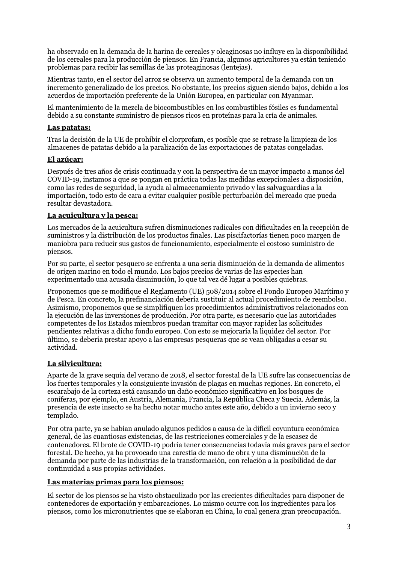ha observado en la demanda de la harina de cereales y oleaginosas no influye en la disponibilidad de los cereales para la producción de piensos. En Francia, algunos agricultores ya están teniendo problemas para recibir las semillas de las proteaginosas (lentejas).

Mientras tanto, en el sector del arroz se observa un aumento temporal de la demanda con un incremento generalizado de los precios. No obstante, los precios siguen siendo bajos, debido a los acuerdos de importación preferente de la Unión Europea, en particular con Myanmar.

El mantenimiento de la mezcla de biocombustibles en los combustibles fósiles es fundamental debido a su constante suministro de piensos ricos en proteínas para la cría de animales.

#### **Las patatas:**

Tras la decisión de la UE de prohibir el clorprofam, es posible que se retrase la limpieza de los almacenes de patatas debido a la paralización de las exportaciones de patatas congeladas.

#### **El azúcar:**

Después de tres años de crisis continuada y con la perspectiva de un mayor impacto a manos del COVID-19, instamos a que se pongan en práctica todas las medidas excepcionales a disposición, como las redes de seguridad, la ayuda al almacenamiento privado y las salvaguardias a la importación, todo esto de cara a evitar cualquier posible perturbación del mercado que pueda resultar devastadora.

#### **La acuicultura y la pesca:**

Los mercados de la acuicultura sufren disminuciones radicales con dificultades en la recepción de suministros y la distribución de los productos finales. Las piscifactorías tienen poco margen de maniobra para reducir sus gastos de funcionamiento, especialmente el costoso suministro de piensos.

Por su parte, el sector pesquero se enfrenta a una seria disminución de la demanda de alimentos de origen marino en todo el mundo. Los bajos precios de varias de las especies han experimentado una acusada disminución, lo que tal vez dé lugar a posibles quiebras.

Proponemos que se modifique el Reglamento (UE) 508/2014 sobre el Fondo Europeo Marítimo y de Pesca. En concreto, la prefinanciación debería sustituir al actual procedimiento de reembolso. Asimismo, proponemos que se simplifiquen los procedimientos administrativos relacionados con la ejecución de las inversiones de producción. Por otra parte, es necesario que las autoridades competentes de los Estados miembros puedan tramitar con mayor rapidez las solicitudes pendientes relativas a dicho fondo europeo. Con esto se mejoraría la liquidez del sector. Por último, se debería prestar apoyo a las empresas pesqueras que se vean obligadas a cesar su actividad.

#### **La silvicultura:**

Aparte de la grave sequía del verano de 2018, el sector forestal de la UE sufre las consecuencias de los fuertes temporales y la consiguiente invasión de plagas en muchas regiones. En concreto, el escarabajo de la corteza está causando un daño económico significativo en los bosques de coníferas, por ejemplo, en Austria, Alemania, Francia, la República Checa y Suecia. Además, la presencia de este insecto se ha hecho notar mucho antes este año, debido a un invierno seco y templado.

Por otra parte, ya se habían anulado algunos pedidos a causa de la difícil coyuntura económica general, de las cuantiosas existencias, de las restricciones comerciales y de la escasez de contenedores. El brote de COVID-19 podría tener consecuencias todavía más graves para el sector forestal. De hecho, ya ha provocado una carestía de mano de obra y una disminución de la demanda por parte de las industrias de la transformación, con relación a la posibilidad de dar continuidad a sus propias actividades.

#### **Las materias primas para los piensos:**

El sector de los piensos se ha visto obstaculizado por las crecientes dificultades para disponer de contenedores de exportación y embarcaciones. Lo mismo ocurre con los ingredientes para los piensos, como los micronutrientes que se elaboran en China, lo cual genera gran preocupación.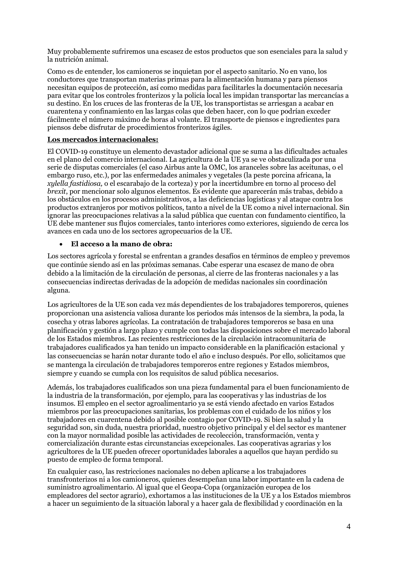Muy probablemente sufriremos una escasez de estos productos que son esenciales para la salud y la nutrición animal.

Como es de entender, los camioneros se inquietan por el aspecto sanitario. No en vano, los conductores que transportan materias primas para la alimentación humana y para piensos necesitan equipos de protección, así como medidas para facilitarles la documentación necesaria para evitar que los controles fronterizos y la policía local les impidan transportar las mercancías a su destino. En los cruces de las fronteras de la UE, los transportistas se arriesgan a acabar en cuarentena y confinamiento en las largas colas que deben hacer, con lo que podrían exceder fácilmente el número máximo de horas al volante. El transporte de piensos e ingredientes para piensos debe disfrutar de procedimientos fronterizos ágiles.

#### **Los mercados internacionales:**

El COVID-19 constituye un elemento devastador adicional que se suma a las dificultades actuales en el plano del comercio internacional. La agricultura de la UE ya se ve obstaculizada por una serie de disputas comerciales (el caso Airbus ante la OMC, los aranceles sobre las aceitunas, o el embargo ruso, etc.), por las enfermedades animales y vegetales (la peste porcina africana, la *xylella fastidiosa,* o el escarabajo de la corteza) y por la incertidumbre en torno al proceso del *brexit*, por mencionar solo algunos elementos. Es evidente que aparecerán más trabas, debido a los obstáculos en los procesos administrativos, a las deficiencias logísticas y al ataque contra los productos extranjeros por motivos políticos, tanto a nivel de la UE como a nivel internacional. Sin ignorar las preocupaciones relativas a la salud pública que cuentan con fundamento científico, la UE debe mantener sus flujos comerciales, tanto interiores como exteriores, siguiendo de cerca los avances en cada uno de los sectores agropecuarios de la UE.

#### **El acceso a la mano de obra:**

Los sectores agrícola y forestal se enfrentan a grandes desafíos en términos de empleo y prevemos que continúe siendo así en las próximas semanas. Cabe esperar una escasez de mano de obra debido a la limitación de la circulación de personas, al cierre de las fronteras nacionales y a las consecuencias indirectas derivadas de la adopción de medidas nacionales sin coordinación alguna.

Los agricultores de la UE son cada vez más dependientes de los trabajadores temporeros, quienes proporcionan una asistencia valiosa durante los periodos más intensos de la siembra, la poda, la cosecha y otras labores agrícolas. La contratación de trabajadores temporeros se basa en una planificación y gestión a largo plazo y cumple con todas las disposiciones sobre el mercado laboral de los Estados miembros. Las recientes restricciones de la circulación intracomunitaria de trabajadores cualificados ya han tenido un impacto considerable en la planificación estacional y las consecuencias se harán notar durante todo el año e incluso después. Por ello, solicitamos que se mantenga la circulación de trabajadores temporeros entre regiones y Estados miembros, siempre y cuando se cumpla con los requisitos de salud pública necesarios.

Además, los trabajadores cualificados son una pieza fundamental para el buen funcionamiento de la industria de la transformación, por ejemplo, para las cooperativas y las industrias de los insumos. El empleo en el sector agroalimentario ya se está viendo afectado en varios Estados miembros por las preocupaciones sanitarias, los problemas con el cuidado de los niños y los trabajadores en cuarentena debido al posible contagio por COVID-19. Si bien la salud y la seguridad son, sin duda, nuestra prioridad, nuestro objetivo principal y el del sector es mantener con la mayor normalidad posible las actividades de recolección, transformación, venta y comercialización durante estas circunstancias excepcionales. Las cooperativas agrarias y los agricultores de la UE pueden ofrecer oportunidades laborales a aquellos que hayan perdido su puesto de empleo de forma temporal.

En cualquier caso, las restricciones nacionales no deben aplicarse a los trabajadores transfronterizos ni a los camioneros, quienes desempeñan una labor importante en la cadena de suministro agroalimentario. Al igual que el Geopa-Copa (organización europea de los empleadores del sector agrario), exhortamos a las instituciones de la UE y a los Estados miembros a hacer un seguimiento de la situación laboral y a hacer gala de flexibilidad y coordinación en la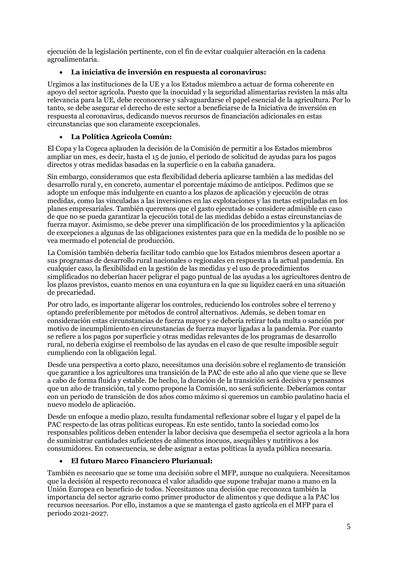ejecución de la legislación pertinente, con el fin de evitar cualquier alteración en la cadena agroalimentaria.

## **La iniciativa de inversión en respuesta al coronavirus:**

Urgimos a las instituciones de la UE y a los Estados miembro a actuar de forma coherente en apoyo del sector agrícola. Puesto que la inocuidad y la seguridad alimentarias revisten la más alta relevancia para la UE, debe reconocerse y salvaguardarse el papel esencial de la agricultura. Por lo tanto, se debe asegurar el derecho de este sector a beneficiarse de la Iniciativa de inversión en respuesta al coronavirus, dedicando nuevos recursos de financiación adicionales en estas circunstancias que son claramente excepcionales.

#### **La Política Agrícola Común:**

El Copa y la Cogeca aplauden la decisión de la Comisión de permitir a los Estados miembros ampliar un mes, es decir, hasta el 15 de junio, el período de solicitud de ayudas para los pagos directos y otras medidas basadas en la superficie o en la cabaña ganadera.

Sin embargo, consideramos que esta flexibilidad debería aplicarse también a las medidas del desarrollo rural y, en concreto, aumentar el porcentaje máximo de anticipos. Pedimos que se adopte un enfoque más indulgente en cuanto a los plazos de aplicación y ejecución de otras medidas, como las vinculadas a las inversiones en las explotaciones y las metas estipuladas en los planes empresariales. También queremos que el gasto ejecutado se considere admisible en caso de que no se pueda garantizar la ejecución total de las medidas debido a estas circunstancias de fuerza mayor. Asimismo, se debe prever una simplificación de los procedimientos y la aplicación de excepciones a algunas de las obligaciones existentes para que en la medida de lo posible no se vea mermado el potencial de producción.

La Comisión también debería facilitar todo cambio que los Estados miembros deseen aportar a sus programas de desarrollo rural nacionales o regionales en respuesta a la actual pandemia. En cualquier caso, la flexibilidad en la gestión de las medidas y el uso de procedimientos simplificados no deberían hacer peligrar el pago puntual de las ayudas a los agricultores dentro de los plazos previstos, cuanto menos en una coyuntura en la que su liquidez caerá en una situación de precariedad.

Por otro lado, es importante aligerar los controles, reduciendo los controles sobre el terreno y optando preferiblemente por métodos de control alternativos. Además, se deben tomar en consideración estas circunstancias de fuerza mayor y se debería retirar toda multa o sanción por motivo de incumplimiento en circunstancias de fuerza mayor ligadas a la pandemia. Por cuanto se refiere a los pagos por superficie y otras medidas relevantes de los programas de desarrollo rural, no debería exigirse el reembolso de las ayudas en el caso de que resulte imposible seguir cumpliendo con la obligación legal.

Desde una perspectiva a corto plazo, necesitamos una decisión sobre el reglamento de transición que garantice a los agricultores una transición de la PAC de este año al año que viene que se lleve a cabo de forma fluida y estable. De hecho, la duración de la transición será decisiva y pensamos que un año de transición, tal y como propone la Comisión, no será suficiente. Deberíamos contar con un periodo de transición de dos años como máximo si queremos un cambio paulatino hacia el nuevo modelo de aplicación.

Desde un enfoque a medio plazo, resulta fundamental reflexionar sobre el lugar y el papel de la PAC respecto de las otras políticas europeas. En este sentido, tanto la sociedad como los responsables políticos deben entender la labor decisiva que desempeña el sector agrícola a la hora de suministrar cantidades suficientes de alimentos inocuos, asequibles y nutritivos a los consumidores. En consecuencia, se debe asignar a estas políticas la ayuda pública necesaria.

# **El futuro Marco Financiero Plurianual:**

También es necesario que se tome una decisión sobre el MFP, aunque no cualquiera. Necesitamos que la decisión al respecto reconozca el valor añadido que supone trabajar mano a mano en la Unión Europea en beneficio de todos. Necesitamos una decisión que reconozca también la importancia del sector agrario como primer productor de alimentos y que dedique a la PAC los recursos necesarios. Por ello, instamos a que se mantenga el gasto agrícola en el MFP para el periodo 2021-2027.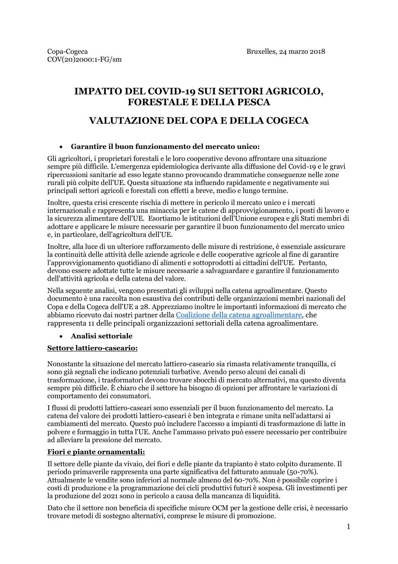# **IMPATTO DEL COVID-19 SUI SETTORI AGRICOLO, FORESTALE E DELLA PESCA**

# **VALUTAZIONE DEL COPA E DELLA COGECA**

#### **Garantire il buon funzionamento del mercato unico:**

Gli agricoltori, i proprietari forestali e le loro cooperative devono affrontare una situazione sempre più difficile. L'emergenza epidemiologica derivante alla diffusione del Covid-19 e le gravi ripercussioni sanitarie ad esso legate stanno provocando drammatiche conseguenze nelle zone rurali più colpite dell'UE. Questa situazione sta influendo rapidamente e negativamente sui principali settori agricoli e forestali con effetti a breve, medio e lungo termine.

Inoltre, questa crisi crescente rischia di mettere in pericolo il mercato unico e i mercati internazionali e rappresenta una minaccia per le catene di approvvigionamento, i posti di lavoro e la sicurezza alimentare dell'UE. Esortiamo le istituzioni dell'Unione europea e gli Stati membri di adottare e applicare le misure necessarie per garantire il buon funzionamento del mercato unico e, in particolare, dell'agricoltura dell'UE.

Inoltre, alla luce di un ulteriore rafforzamento delle misure di restrizione, è essenziale assicurare la continuità delle attività delle aziende agricole e delle cooperative agricole al fine di garantire l'approvvigionamento quotidiano di alimenti e sottoprodotti ai cittadini dell'UE. Pertanto, devono essere adottate tutte le misure necessarie a salvaguardare e garantire il funzionamento dell'attività agricola e della catena del valore.

Nella seguente analisi, vengono presentati gli sviluppi nella catena agroalimentare. Questo documento è una raccolta non esaustiva dei contributi delle organizzazioni membri nazionali del Copa e della Cogeca dell'UE a 28. Apprezziamo inoltre le importanti informazioni di mercato che abbiamo ricevuto dai nostri partner della [Coalizione della catena agroalimentare,](https://agrifoodchaincoalition.eu/) che rappresenta 11 delle principali organizzazioni settoriali della catena agroalimentare.

# **Analisi settoriale**

#### **Settore lattiero-caseario:**

Nonostante la situazione del mercato lattiero-caseario sia rimasta relativamente tranquilla, ci sono già segnali che indicano potenziali turbative. Avendo perso alcuni dei canali di trasformazione, i trasformatori devono trovare sbocchi di mercato alternativi, ma questo diventa sempre più difficile. È chiaro che il settore ha bisogno di opzioni per affrontare le variazioni di comportamento dei consumatori.

I flussi di prodotti lattiero-caseari sono essenziali per il buon funzionamento del mercato. La catena del valore dei prodotti lattiero-caseari è ben integrata e rimane unita nell'adattarsi ai cambiamenti del mercato. Questo può includere l'accesso a impianti di trasformazione di latte in polvere e formaggio in tutta l'UE. Anche l'ammasso privato può essere necessario per contribuire ad alleviare la pressione del mercato.

#### **Fiori e piante ornamentali:**

Il settore delle piante da vivaio, dei fiori e delle piante da trapianto è stato colpito duramente. Il periodo primaverile rappresenta una parte significativa del fatturato annuale (50-70%). Attualmente le vendite sono inferiori al normale almeno del 60-70%. Non è possibile coprire i costi di produzione e la programmazione dei cicli produttivi futuri è sospesa. Gli investimenti per la produzione del 2021 sono in pericolo a causa della mancanza di liquidità.

Dato che il settore non beneficia di specifiche misure OCM per la gestione delle crisi, è necessario trovare metodi di sostegno alternativi, comprese le misure di promozione.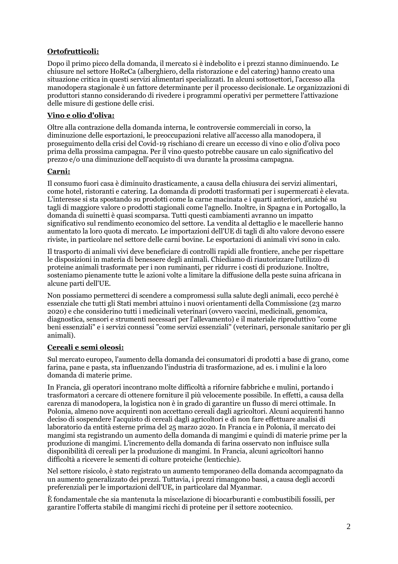# **Ortofrutticoli:**

Dopo il primo picco della domanda, il mercato si è indebolito e i prezzi stanno diminuendo. Le chiusure nel settore HoReCa (alberghiero, della ristorazione e del catering) hanno creato una situazione critica in questi servizi alimentari specializzati. In alcuni sottosettori, l'accesso alla manodopera stagionale è un fattore determinante per il processo decisionale. Le organizzazioni di produttori stanno considerando di rivedere i programmi operativi per permettere l'attivazione delle misure di gestione delle crisi.

#### **Vino e olio d'oliva:**

Oltre alla contrazione della domanda interna, le controversie commerciali in corso, la diminuzione delle esportazioni, le preoccupazioni relative all'accesso alla manodopera, il proseguimento della crisi del Covid-19 rischiano di creare un eccesso di vino e olio d'oliva poco prima della prossima campagna. Per il vino questo potrebbe causare un calo significativo del prezzo e/o una diminuzione dell'acquisto di uva durante la prossima campagna.

#### **Carni:**

Il consumo fuori casa è diminuito drasticamente, a causa della chiusura dei servizi alimentari, come hotel, ristoranti e catering. La domanda di prodotti trasformati per i supermercati è elevata. L'interesse si sta spostando su prodotti come la carne macinata e i quarti anteriori, anziché su tagli di maggiore valore o prodotti stagionali come l'agnello. Inoltre, in Spagna e in Portogallo, la domanda di suinetti è quasi scomparsa. Tutti questi cambiamenti avranno un impatto significativo sul rendimento economico del settore. La vendita al dettaglio e le macellerie hanno aumentato la loro quota di mercato. Le importazioni dell'UE di tagli di alto valore devono essere riviste, in particolare nel settore delle carni bovine. Le esportazioni di animali vivi sono in calo.

Il trasporto di animali vivi deve beneficiare di controlli rapidi alle frontiere, anche per rispettare le disposizioni in materia di benessere degli animali. Chiediamo di riautorizzare l'utilizzo di proteine animali trasformate per i non ruminanti, per ridurre i costi di produzione. Inoltre, sosteniamo pienamente tutte le azioni volte a limitare la diffusione della peste suina africana in alcune parti dell'UE.

Non possiamo permetterci di scendere a compromessi sulla salute degli animali, ecco perché è essenziale che tutti gli Stati membri attuino i nuovi orientamenti della Commissione (23 marzo 2020) e che considerino tutti i medicinali veterinari (ovvero vaccini, medicinali, genomica, diagnostica, sensori e strumenti necessari per l'allevamento) e il materiale riproduttivo "come beni essenziali" e i servizi connessi "come servizi essenziali" (veterinari, personale sanitario per gli animali).

#### **Cereali e semi oleosi:**

Sul mercato europeo, l'aumento della domanda dei consumatori di prodotti a base di grano, come farina, pane e pasta, sta influenzando l'industria di trasformazione, ad es. i mulini e la loro domanda di materie prime.

In Francia, gli operatori incontrano molte difficoltà a rifornire fabbriche e mulini, portando i trasformatori a cercare di ottenere forniture il più velocemente possibile. In effetti, a causa della carenza di manodopera, la logistica non è in grado di garantire un flusso di merci ottimale. In Polonia, almeno nove acquirenti non accettano cereali dagli agricoltori. Alcuni acquirenti hanno deciso di sospendere l'acquisto di cereali dagli agricoltori e di non fare effettuare analisi di laboratorio da entità esterne prima del 25 marzo 2020. In Francia e in Polonia, il mercato dei mangimi sta registrando un aumento della domanda di mangimi e quindi di materie prime per la produzione di mangimi. L'incremento della domanda di farina osservato non influisce sulla disponibilità di cereali per la produzione di mangimi. In Francia, alcuni agricoltori hanno difficoltà a ricevere le sementi di colture proteiche (lenticchie).

Nel settore risicolo, è stato registrato un aumento temporaneo della domanda accompagnato da un aumento generalizzato dei prezzi. Tuttavia, i prezzi rimangono bassi, a causa degli accordi preferenziali per le importazioni dell'UE, in particolare dal Myanmar.

È fondamentale che sia mantenuta la miscelazione di biocarburanti e combustibili fossili, per garantire l'offerta stabile di mangimi ricchi di proteine per il settore zootecnico.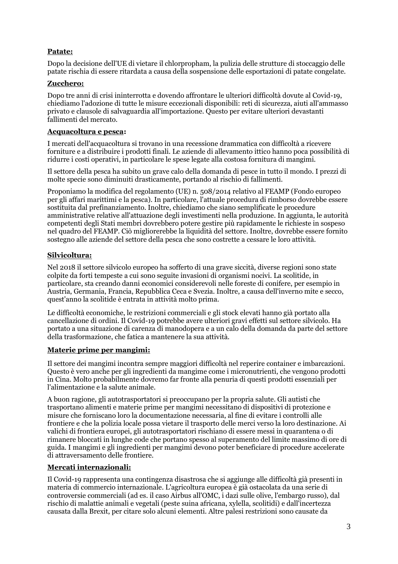# **Patate:**

Dopo la decisione dell'UE di vietare il chlorpropham, la pulizia delle strutture di stoccaggio delle patate rischia di essere ritardata a causa della sospensione delle esportazioni di patate congelate.

## **Zucchero:**

Dopo tre anni di crisi ininterrotta e dovendo affrontare le ulteriori difficoltà dovute al Covid-19, chiediamo l'adozione di tutte le misure eccezionali disponibili: reti di sicurezza, aiuti all'ammasso privato e clausole di salvaguardia all'importazione. Questo per evitare ulteriori devastanti fallimenti del mercato.

#### **Acquacoltura e pesca:**

I mercati dell'acquacoltura si trovano in una recessione drammatica con difficoltà a ricevere forniture e a distribuire i prodotti finali. Le aziende di allevamento ittico hanno poca possibilità di ridurre i costi operativi, in particolare le spese legate alla costosa fornitura di mangimi.

Il settore della pesca ha subito un grave calo della domanda di pesce in tutto il mondo. I prezzi di molte specie sono diminuiti drasticamente, portando al rischio di fallimenti.

Proponiamo la modifica del regolamento (UE) n. 508/2014 relativo al FEAMP (Fondo europeo per gli affari marittimi e la pesca). In particolare, l'attuale procedura di rimborso dovrebbe essere sostituita dal prefinanziamento. Inoltre, chiediamo che siano semplificate le procedure amministrative relative all'attuazione degli investimenti nella produzione. In aggiunta, le autorità competenti degli Stati membri dovrebbero potere gestire più rapidamente le richieste in sospeso nel quadro del FEAMP. Ciò migliorerebbe la liquidità del settore. Inoltre, dovrebbe essere fornito sostegno alle aziende del settore della pesca che sono costrette a cessare le loro attività.

# **Silvicoltura:**

Nel 2018 il settore silvicolo europeo ha sofferto di una grave siccità, diverse regioni sono state colpite da forti tempeste a cui sono seguite invasioni di organismi nocivi. La scolitide, in particolare, sta creando danni economici considerevoli nelle foreste di conifere, per esempio in Austria, Germania, Francia, Repubblica Ceca e Svezia. Inoltre, a causa dell'inverno mite e secco, quest'anno la scolitide è entrata in attività molto prima.

Le difficoltà economiche, le restrizioni commerciali e gli stock elevati hanno già portato alla cancellazione di ordini. Il Covid-19 potrebbe avere ulteriori gravi effetti sul settore silvicolo. Ha portato a una situazione di carenza di manodopera e a un calo della domanda da parte del settore della trasformazione, che fatica a mantenere la sua attività.

#### **Materie prime per mangimi:**

Il settore dei mangimi incontra sempre maggiori difficoltà nel reperire container e imbarcazioni. Questo è vero anche per gli ingredienti da mangime come i micronutrienti, che vengono prodotti in Cina. Molto probabilmente dovremo far fronte alla penuria di questi prodotti essenziali per l'alimentazione e la salute animale.

A buon ragione, gli autotrasportatori si preoccupano per la propria salute. Gli autisti che trasportano alimenti e materie prime per mangimi necessitano di dispositivi di protezione e misure che forniscano loro la documentazione necessaria, al fine di evitare i controlli alle frontiere e che la polizia locale possa vietare il trasporto delle merci verso la loro destinazione. Ai valichi di frontiera europei, gli autotrasportatori rischiano di essere messi in quarantena o di rimanere bloccati in lunghe code che portano spesso al superamento del limite massimo di ore di guida. I mangimi e gli ingredienti per mangimi devono poter beneficiare di procedure accelerate di attraversamento delle frontiere.

# **Mercati internazionali:**

Il Covid-19 rappresenta una contingenza disastrosa che si aggiunge alle difficoltà già presenti in materia di commercio internazionale. L'agricoltura europea è già ostacolata da una serie di controversie commerciali (ad es. il caso Airbus all'OMC, i dazi sulle olive, l'embargo russo), dal rischio di malattie animali e vegetali (peste suina africana, xylella, scolitidi) e dall'incertezza causata dalla Brexit, per citare solo alcuni elementi. Altre palesi restrizioni sono causate da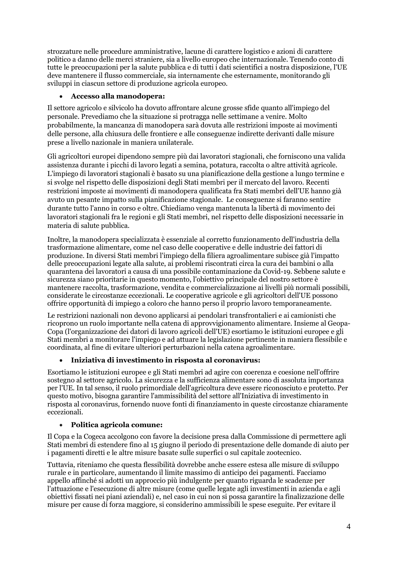strozzature nelle procedure amministrative, lacune di carattere logistico e azioni di carattere politico a danno delle merci straniere, sia a livello europeo che internazionale. Tenendo conto di tutte le preoccupazioni per la salute pubblica e di tutti i dati scientifici a nostra disposizione, l'UE deve mantenere il flusso commerciale, sia internamente che esternamente, monitorando gli sviluppi in ciascun settore di produzione agricola europeo.

## **Accesso alla manodopera:**

Il settore agricolo e silvicolo ha dovuto affrontare alcune grosse sfide quanto all'impiego del personale. Prevediamo che la situazione si protragga nelle settimane a venire. Molto probabilmente, la mancanza di manodopera sarà dovuta alle restrizioni imposte ai movimenti delle persone, alla chiusura delle frontiere e alle conseguenze indirette derivanti dalle misure prese a livello nazionale in maniera unilaterale.

Gli agricoltori europei dipendono sempre più dai lavoratori stagionali, che forniscono una valida assistenza durante i picchi di lavoro legati a semina, potatura, raccolta o altre attività agricole. L'impiego di lavoratori stagionali è basato su una pianificazione della gestione a lungo termine e si svolge nel rispetto delle disposizioni degli Stati membri per il mercato del lavoro. Recenti restrizioni imposte ai movimenti di manodopera qualificata fra Stati membri dell'UE hanno già avuto un pesante impatto sulla pianificazione stagionale. Le conseguenze si faranno sentire durante tutto l'anno in corso e oltre. Chiediamo venga mantenuta la libertà di movimento dei lavoratori stagionali fra le regioni e gli Stati membri, nel rispetto delle disposizioni necessarie in materia di salute pubblica.

Inoltre, la manodopera specializzata è essenziale al corretto funzionamento dell'industria della trasformazione alimentare, come nel caso delle cooperative e delle industrie dei fattori di produzione. In diversi Stati membri l'impiego della filiera agroalimentare subisce già l'impatto delle preoccupazioni legate alla salute, ai problemi riscontrati circa la cura dei bambini o alla quarantena dei lavoratori a causa di una possibile contaminazione da Covid-19. Sebbene salute e sicurezza siano prioritarie in questo momento, l'obiettivo principale del nostro settore è mantenere raccolta, trasformazione, vendita e commercializzazione ai livelli più normali possibili, considerate le circostanze eccezionali. Le cooperative agricole e gli agricoltori dell'UE possono offrire opportunità di impiego a coloro che hanno perso il proprio lavoro temporaneamente.

Le restrizioni nazionali non devono applicarsi ai pendolari transfrontalieri e ai camionisti che ricoprono un ruolo importante nella catena di approvvigionamento alimentare. Insieme al Geopa-Copa (l'organizzazione dei datori di lavoro agricoli dell'UE) esortiamo le istituzioni europee e gli Stati membri a monitorare l'impiego e ad attuare la legislazione pertinente in maniera flessibile e coordinata, al fine di evitare ulteriori perturbazioni nella catena agroalimentare.

# **Iniziativa di investimento in risposta al coronavirus:**

Esortiamo le istituzioni europee e gli Stati membri ad agire con coerenza e coesione nell'offrire sostegno al settore agricolo. La sicurezza e la sufficienza alimentare sono di assoluta importanza per l'UE. In tal senso, il ruolo primordiale dell'agricoltura deve essere riconosciuto e protetto. Per questo motivo, bisogna garantire l'ammissibilità del settore all'Iniziativa di investimento in risposta al coronavirus, fornendo nuove fonti di finanziamento in queste circostanze chiaramente eccezionali.

#### **Politica agricola comune:**

Il Copa e la Cogeca accolgono con favore la decisione presa dalla Commissione di permettere agli Stati membri di estendere fino al 15 giugno il periodo di presentazione delle domande di aiuto per i pagamenti diretti e le altre misure basate sulle superfici o sul capitale zootecnico.

Tuttavia, riteniamo che questa flessibilità dovrebbe anche essere estesa alle misure di sviluppo rurale e in particolare, aumentando il limite massimo di anticipo dei pagamenti. Facciamo appello affinché si adotti un approccio più indulgente per quanto riguarda le scadenze per l'attuazione e l'esecuzione di altre misure (come quelle legate agli investimenti in azienda e agli obiettivi fissati nei piani aziendali) e, nel caso in cui non si possa garantire la finalizzazione delle misure per cause di forza maggiore, si considerino ammissibili le spese eseguite. Per evitare il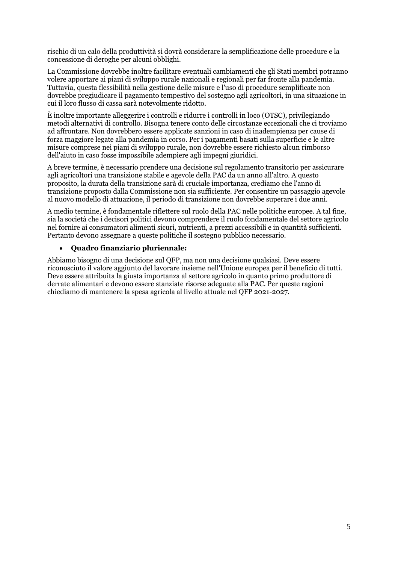rischio di un calo della produttività si dovrà considerare la semplificazione delle procedure e la concessione di deroghe per alcuni obblighi.

La Commissione dovrebbe inoltre facilitare eventuali cambiamenti che gli Stati membri potranno volere apportare ai piani di sviluppo rurale nazionali e regionali per far fronte alla pandemia. Tuttavia, questa flessibilità nella gestione delle misure e l'uso di procedure semplificate non dovrebbe pregiudicare il pagamento tempestivo del sostegno agli agricoltori, in una situazione in cui il loro flusso di cassa sarà notevolmente ridotto.

È inoltre importante alleggerire i controlli e ridurre i controlli in loco (OTSC), privilegiando metodi alternativi di controllo. Bisogna tenere conto delle circostanze eccezionali che ci troviamo ad affrontare. Non dovrebbero essere applicate sanzioni in caso di inadempienza per cause di forza maggiore legate alla pandemia in corso. Per i pagamenti basati sulla superficie e le altre misure comprese nei piani di sviluppo rurale, non dovrebbe essere richiesto alcun rimborso dell'aiuto in caso fosse impossibile adempiere agli impegni giuridici.

A breve termine, è necessario prendere una decisione sul regolamento transitorio per assicurare agli agricoltori una transizione stabile e agevole della PAC da un anno all'altro. A questo proposito, la durata della transizione sarà di cruciale importanza, crediamo che l'anno di transizione proposto dalla Commissione non sia sufficiente. Per consentire un passaggio agevole al nuovo modello di attuazione, il periodo di transizione non dovrebbe superare i due anni.

A medio termine, è fondamentale riflettere sul ruolo della PAC nelle politiche europee. A tal fine, sia la società che i decisori politici devono comprendere il ruolo fondamentale del settore agricolo nel fornire ai consumatori alimenti sicuri, nutrienti, a prezzi accessibili e in quantità sufficienti. Pertanto devono assegnare a queste politiche il sostegno pubblico necessario.

#### **Quadro finanziario pluriennale:**

Abbiamo bisogno di una decisione sul QFP, ma non una decisione qualsiasi. Deve essere riconosciuto il valore aggiunto del lavorare insieme nell'Unione europea per il beneficio di tutti. Deve essere attribuita la giusta importanza al settore agricolo in quanto primo produttore di derrate alimentari e devono essere stanziate risorse adeguate alla PAC. Per queste ragioni chiediamo di mantenere la spesa agricola al livello attuale nel QFP 2021-2027.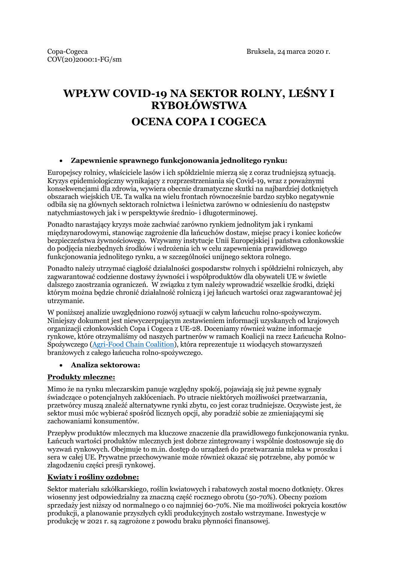# **WPŁYW COVID-19 NA SEKTOR ROLNY, LEŚNY I RYBOŁÓWSTWA**

# **OCENA COPA I COGECA**

#### **Zapewnienie sprawnego funkcjonowania jednolitego rynku:**

Europejscy rolnicy, właściciele lasów i ich spółdzielnie mierzą się z coraz trudniejszą sytuacją. Kryzys epidemiologiczny wynikający z rozprzestrzeniania się Covid-19, wraz z poważnymi konsekwencjami dla zdrowia, wywiera obecnie dramatyczne skutki na najbardziej dotkniętych obszarach wiejskich UE. Ta walka na wielu frontach równocześnie bardzo szybko negatywnie odbiła się na głównych sektorach rolnictwa i leśnictwa zarówno w odniesieniu do następstw natychmiastowych jak i w perspektywie średnio- i długoterminowej.

Ponadto narastający kryzys może zachwiać zarówno rynkiem jednolitym jak i rynkami międzynarodowymi, stanowiąc zagrożenie dla łańcuchów dostaw, miejsc pracy i koniec końców bezpieczeństwa żywnościowego. Wzywamy instytucje Unii Europejskiej i państwa członkowskie do podjęcia niezbędnych środków i wdrożenia ich w celu zapewnienia prawidłowego funkcjonowania jednolitego rynku, a w szczególności unijnego sektora rolnego.

Ponadto należy utrzymać ciągłość działalności gospodarstw rolnych i spółdzielni rolniczych, aby zagwarantować codzienne dostawy żywności i współproduktów dla obywateli UE w świetle dalszego zaostrzania ograniczeń. W związku z tym należy wprowadzić wszelkie środki, dzięki którym można będzie chronić działalność rolniczą i jej łańcuch wartości oraz zagwarantować jej utrzymanie.

W poniższej analizie uwzględniono rozwój sytuacji w całym łańcuchu rolno-spożywczym. Niniejszy dokument jest niewyczerpującym zestawieniem informacji uzyskanych od krajowych organizacji członkowskich Copa i Cogeca z UE-28. Doceniamy również ważne informacje rynkowe, które otrzymaliśmy od naszych partnerów w ramach Koalicji na rzecz Łańcucha Rolno-Spożywczego ([Agri-Food Chain Coalition\)](https://agrifoodchaincoalition.eu/), która reprezentuje 11 wiodących stowarzyszeń branżowych z całego łańcucha rolno-spożywczego.

#### **Analiza sektorowa:**

#### **Produkty mleczne:**

Mimo że na rynku mleczarskim panuje względny spokój, pojawiają się już pewne sygnały świadczące o potencjalnych zakłóceniach. Po utracie niektórych możliwości przetwarzania, przetwórcy muszą znaleźć alternatywne rynki zbytu, co jest coraz trudniejsze. Oczywiste jest, że sektor musi móc wybierać spośród licznych opcji, aby poradzić sobie ze zmieniającymi się zachowaniami konsumentów.

Przepływ produktów mlecznych ma kluczowe znaczenie dla prawidłowego funkcjonowania rynku. Łańcuch wartości produktów mlecznych jest dobrze zintegrowany i wspólnie dostosowuje się do wyzwań rynkowych. Obejmuje to m.in. dostęp do urządzeń do przetwarzania mleka w proszku i sera w całej UE. Prywatne przechowywanie może również okazać się potrzebne, aby pomóc w złagodzeniu części presji rynkowej.

#### **Kwiaty i rośliny ozdobne:**

Sektor materiału szkółkarskiego, roślin kwiatowych i rabatowych został mocno dotknięty. Okres wiosenny jest odpowiedzialny za znaczną część rocznego obrotu (50-70%). Obecny poziom sprzedaży jest niższy od normalnego o co najmniej 60-70%. Nie ma możliwości pokrycia kosztów produkcji, a planowanie przyszłych cykli produkcyjnych zostało wstrzymane. Inwestycje w produkcję w 2021 r. są zagrożone z powodu braku płynności finansowej.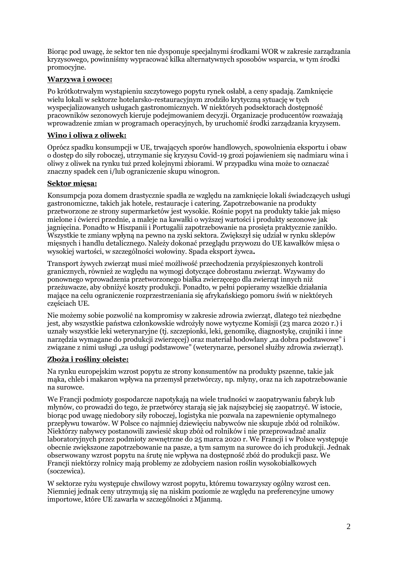Biorąc pod uwagę, że sektor ten nie dysponuje specjalnymi środkami WOR w zakresie zarządzania kryzysowego, powinniśmy wypracować kilka alternatywnych sposobów wsparcia, w tym środki promocyjne.

## **Warzywa i owoce:**

Po krótkotrwałym wystąpieniu szczytowego popytu rynek osłabł, a ceny spadają. Zamknięcie wielu lokali w sektorze hotelarsko-restauracyjnym zrodziło krytyczną sytuację w tych wyspecjalizowanych usługach gastronomicznych. W niektórych podsektorach dostępność pracowników sezonowych kieruje podejmowaniem decyzji. Organizacje producentów rozważają wprowadzenie zmian w programach operacyjnych, by uruchomić środki zarządzania kryzysem.

#### **Wino i oliwa z oliwek:**

Oprócz spadku konsumpcji w UE, trwających sporów handlowych, spowolnienia eksportu i obaw o dostęp do siły roboczej, utrzymanie się kryzysu Covid-19 grozi pojawieniem się nadmiaru wina i oliwy z oliwek na rynku tuż przed kolejnymi zbiorami. W przypadku wina może to oznaczać znaczny spadek cen i/lub ograniczenie skupu winogron.

#### **Sektor mięsa:**

Konsumpcja poza domem drastycznie spadła ze względu na zamknięcie lokali świadczących usługi gastronomiczne, takich jak hotele, restauracje i catering. Zapotrzebowanie na produkty przetworzone ze strony supermarketów jest wysokie. Rośnie popyt na produkty takie jak mięso mielone i ćwierci przednie, a maleje na kawałki o wyższej wartości i produkty sezonowe jak jagnięcina. Ponadto w Hiszpanii i Portugalii zapotrzebowanie na prosięta praktycznie zanikło. Wszystkie te zmiany wpłyną na pewno na zyski sektora. Zwiększył się udział w rynku sklepów mięsnych i handlu detalicznego. Należy dokonać przeglądu przywozu do UE kawałków mięsa o wysokiej wartości, w szczególności wołowiny. Spada eksport żywca**.**

Transport żywych zwierząt musi mieć możliwość przechodzenia przyśpieszonych kontroli granicznych, również ze względu na wymogi dotyczące dobrostanu zwierząt. Wzywamy do ponownego wprowadzenia przetworzonego białka zwierzęcego dla zwierząt innych niż przeżuwacze, aby obniżyć koszty produkcji. Ponadto, w pełni popieramy wszelkie działania mające na celu ograniczenie rozprzestrzeniania się afrykańskiego pomoru świń w niektórych częściach UE.

Nie możemy sobie pozwolić na kompromisy w zakresie zdrowia zwierząt, dlatego też niezbędne jest, aby wszystkie państwa członkowskie wdrożyły nowe wytyczne Komisji (23 marca 2020 r.) i uznały wszystkie leki weterynaryjne (tj. szczepionki, leki, genomikę, diagnostykę, czujniki i inne narzędzia wymagane do produkcji zwierzęcej) oraz materiał hodowlany "za dobra podstawowe" i związane z nimi usługi "za usługi podstawowe" (weterynarze, personel służby zdrowia zwierząt).

#### **Zboża i rośliny oleiste:**

Na rynku europejskim wzrost popytu ze strony konsumentów na produkty pszenne, takie jak mąka, chleb i makaron wpływa na przemysł przetwórczy, np. młyny, oraz na ich zapotrzebowanie na surowce.

We Francji podmioty gospodarcze napotykają na wiele trudności w zaopatrywaniu fabryk lub młynów, co prowadzi do tego, że przetwórcy starają się jak najszybciej się zaopatrzyć. W istocie, biorąc pod uwagę niedobory siły roboczej, logistyka nie pozwala na zapewnienie optymalnego przepływu towarów. W Polsce co najmniej dziewięciu nabywców nie skupuje zbóż od rolników. Niektórzy nabywcy postanowili zawiesić skup zbóż od rolników i nie przeprowadzać analiz laboratoryjnych przez podmioty zewnętrzne do 25 marca 2020 r. We Francji i w Polsce występuje obecnie zwiększone zapotrzebowanie na pasze, a tym samym na surowce do ich produkcji. Jednak obserwowany wzrost popytu na śrutę nie wpływa na dostępność zbóż do produkcji pasz. We Francji niektórzy rolnicy mają problemy ze zdobyciem nasion roślin wysokobiałkowych (soczewica).

W sektorze ryżu występuje chwilowy wzrost popytu, któremu towarzyszy ogólny wzrost cen. Niemniej jednak ceny utrzymują się na niskim poziomie ze względu na preferencyjne umowy importowe, które UE zawarła w szczególności z Mjanmą.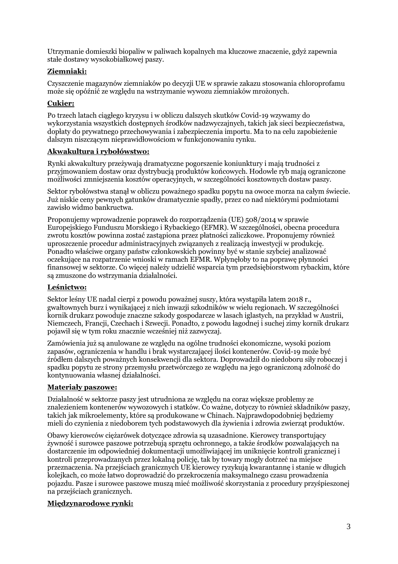Utrzymanie domieszki biopaliw w paliwach kopalnych ma kluczowe znaczenie, gdyż zapewnia stałe dostawy wysokobiałkowej paszy.

# **Ziemniaki:**

Czyszczenie magazynów ziemniaków po decyzji UE w sprawie zakazu stosowania chloroprofamu może się opóźnić ze względu na wstrzymanie wywozu ziemniaków mrożonych.

# **Cukier:**

Po trzech latach ciągłego kryzysu i w obliczu dalszych skutków Covid-19 wzywamy do wykorzystania wszystkich dostępnych środków nadzwyczajnych, takich jak sieci bezpieczeństwa, dopłaty do prywatnego przechowywania i zabezpieczenia importu. Ma to na celu zapobieżenie dalszym niszczącym nieprawidłowościom w funkcjonowaniu rynku.

# **Akwakultura i rybołówstwo:**

Rynki akwakultury przeżywają dramatyczne pogorszenie koniunktury i mają trudności z przyjmowaniem dostaw oraz dystrybucją produktów końcowych. Hodowle ryb mają ograniczone możliwości zmniejszenia kosztów operacyjnych, w szczególności kosztownych dostaw paszy.

Sektor rybołówstwa stanął w obliczu poważnego spadku popytu na owoce morza na całym świecie. Już niskie ceny pewnych gatunków dramatycznie spadły, przez co nad niektórymi podmiotami zawisło widmo bankructwa.

Proponujemy wprowadzenie poprawek do rozporządzenia (UE) 508/2014 w sprawie Europejskiego Funduszu Morskiego i Rybackiego (EFMR). W szczególności, obecna procedura zwrotu kosztów powinna zostać zastąpiona przez płatności zaliczkowe. Proponujemy również uproszczenie procedur administracyjnych związanych z realizacją inwestycji w produkcję. Ponadto właściwe organy państw członkowskich powinny być w stanie szybciej analizować oczekujące na rozpatrzenie wnioski w ramach EFMR. Wpłynęłoby to na poprawę płynności finansowej w sektorze. Co więcej należy udzielić wsparcia tym przedsiębiorstwom rybackim, które są zmuszone do wstrzymania działalności.

# **Leśnictwo:**

Sektor leśny UE nadal cierpi z powodu poważnej suszy, która wystąpiła latem 2018 r., gwałtownych burz i wynikającej z nich inwazji szkodników w wielu regionach. W szczególności kornik drukarz powoduje znaczne szkody gospodarcze w lasach iglastych, na przykład w Austrii, Niemczech, Francji, Czechach i Szwecji. Ponadto, z powodu łagodnej i suchej zimy kornik drukarz pojawił się w tym roku znacznie wcześniej niż zazwyczaj.

Zamówienia już są anulowane ze względu na ogólne trudności ekonomiczne, wysoki poziom zapasów, ograniczenia w handlu i brak wystarczającej ilości kontenerów. Covid-19 może być źródłem dalszych poważnych konsekwencji dla sektora. Doprowadził do niedoboru siły roboczej i spadku popytu ze strony przemysłu przetwórczego ze względu na jego ograniczoną zdolność do kontynuowania własnej działalności.

# **Materiały paszowe:**

Działalność w sektorze paszy jest utrudniona ze względu na coraz większe problemy ze znalezieniem kontenerów wywozowych i statków. Co ważne, dotyczy to również składników paszy, takich jak mikroelementy, które są produkowane w Chinach. Najprawdopodobniej będziemy mieli do czynienia z niedoborem tych podstawowych dla żywienia i zdrowia zwierząt produktów.

Obawy kierowców ciężarówek dotyczące zdrowia są uzasadnione. Kierowcy transportujący żywność i surowce paszowe potrzebują sprzętu ochronnego, a także środków pozwalających na dostarczenie im odpowiedniej dokumentacji umożliwiającej im uniknięcie kontroli granicznej i kontroli przeprowadzanych przez lokalną policję, tak by towary mogły dotrzeć na miejsce przeznaczenia. Na przejściach granicznych UE kierowcy ryzykują kwarantannę i stanie w długich kolejkach, co może łatwo doprowadzić do przekroczenia maksymalnego czasu prowadzenia pojazdu. Pasze i surowce paszowe muszą mieć możliwość skorzystania z procedury przyśpieszonej na przejściach granicznych.

# **Międzynarodowe rynki:**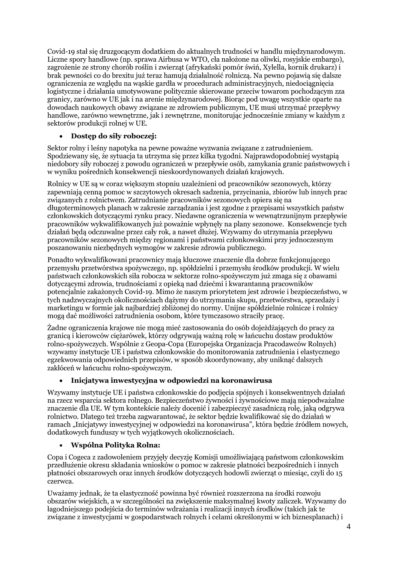Covid-19 stał się druzgocącym dodatkiem do aktualnych trudności w handlu międzynarodowym. Liczne spory handlowe (np. sprawa Airbusa w WTO, cła nałożone na oliwki, rosyjskie embargo), zagrożenie ze strony chorób roślin i zwierząt (afrykański pomór świń, Xylella, kornik drukarz) i brak pewności co do brexitu już teraz hamują działalność rolniczą. Na pewno pojawią się dalsze ograniczenia ze względu na wąskie gardła w procedurach administracyjnych, niedociągnięcia logistyczne i działania umotywowane politycznie skierowane przeciw towarom pochodzącym zza granicy, zarówno w UE jak i na arenie międzynarodowej. Biorąc pod uwagę wszystkie oparte na dowodach naukowych obawy związane ze zdrowiem publicznym, UE musi utrzymać przepływy handlowe, zarówno wewnętrzne, jak i zewnętrzne, monitorując jednocześnie zmiany w każdym z sektorów produkcji rolnej w UE.

# **Dostęp do siły roboczej:**

Sektor rolny i leśny napotyka na pewne poważne wyzwania związane z zatrudnieniem. Spodziewany się, że sytuacja ta utrzyma się przez kilka tygodni. Najprawdopodobniej wystąpią niedobory siły roboczej z powodu ograniczeń w przepływie osób, zamykania granic państwowych i w wyniku pośrednich konsekwencji nieskoordynowanych działań krajowych.

Rolnicy w UE są w coraz większym stopniu uzależnieni od pracowników sezonowych, którzy zapewniają cenną pomoc w szczytowych okresach sadzenia, przycinania, zbiorów lub innych prac związanych z rolnictwem. Zatrudnianie pracowników sezonowych opiera się na długoterminowych planach w zakresie zarządzania i jest zgodne z przepisami wszystkich państw członkowskich dotyczącymi rynku pracy. Niedawne ograniczenia w wewnątrzunijnym przepływie pracowników wykwalifikowanych już poważnie wpłynęły na plany sezonowe. Konsekwencje tych działań będą odczuwalne przez cały rok, a nawet dłużej. Wzywamy do utrzymania przepływu pracowników sezonowych między regionami i państwami członkowskimi przy jednoczesnym poszanowaniu niezbędnych wymogów w zakresie zdrowia publicznego.

Ponadto wykwalifikowani pracownicy mają kluczowe znaczenie dla dobrze funkcjonującego przemysłu przetwórstwa spożywczego, np. spółdzielni i przemysłu środków produkcji. W wielu państwach członkowskich siła robocza w sektorze rolno-spożywczym już zmaga się z obawami dotyczącymi zdrowia, trudnościami z opieką nad dziećmi i kwarantanną pracowników potencjalnie zakażonych Covid-19. Mimo że naszym priorytetem jest zdrowie i bezpieczeństwo, w tych nadzwyczajnych okolicznościach dążymy do utrzymania skupu, przetwórstwa, sprzedaży i marketingu w formie jak najbardziej zbliżonej do normy. Unijne spółdzielnie rolnicze i rolnicy mogą dać możliwości zatrudnienia osobom, które tymczasowo straciły pracę.

Żadne ograniczenia krajowe nie mogą mieć zastosowania do osób dojeżdżających do pracy za granicą i kierowców ciężarówek, którzy odgrywają ważną rolę w łańcuchu dostaw produktów rolno-spożywczych. Wspólnie z Geopa-Copa (Europejska Organizacja Pracodawców Rolnych) wzywamy instytucje UE i państwa członkowskie do monitorowania zatrudnienia i elastycznego egzekwowania odpowiednich przepisów, w sposób skoordynowany, aby uniknąć dalszych zakłóceń w łańcuchu rolno-spożywczym.

# **Inicjatywa inwestycyjna w odpowiedzi na koronawirusa**

Wzywamy instytucje UE i państwa członkowskie do podjęcia spójnych i konsekwentnych działań na rzecz wsparcia sektora rolnego. Bezpieczeństwo żywności i żywnościowe mają niepodważalne znaczenie dla UE. W tym kontekście należy docenić i zabezpieczyć zasadniczą rolę, jaką odgrywa rolnictwo. Dlatego też trzeba zagwarantować, że sektor będzie kwalifikować się do działań w ramach "Inicjatywy inwestycyjnej w odpowiedzi na koronawirusa", która będzie źródłem nowych, dodatkowych funduszy w tych wyjątkowych okolicznościach.

#### **Wspólna Polityka Rolna:**

Copa i Cogeca z zadowoleniem przyjęły decyzję Komisji umożliwiającą państwom członkowskim przedłużenie okresu składania wniosków o pomoc w zakresie płatności bezpośrednich i innych płatności obszarowych oraz innych środków dotyczących hodowli zwierząt o miesiąc, czyli do 15 czerwca.

Uważamy jednak, że ta elastyczność powinna być również rozszerzona na środki rozwoju obszarów wiejskich, a w szczególności na zwiększenie maksymalnej kwoty zaliczek. Wzywamy do łagodniejszego podejścia do terminów wdrażania i realizacji innych środków (takich jak te związane z inwestycjami w gospodarstwach rolnych i celami określonymi w ich biznesplanach) i